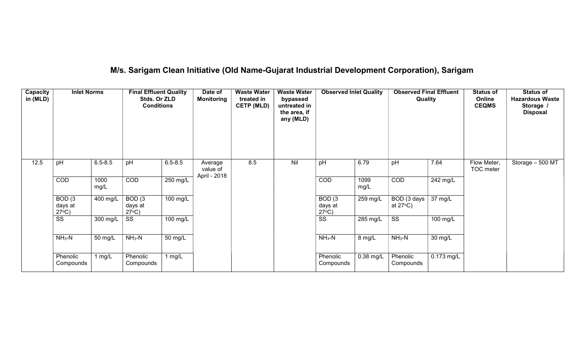# M/s. Sarigam Clean Initiative (Old Name-Gujarat Industrial Development Corporation), Sarigam

| Capacity<br>in (MLD) | <b>Inlet Norms</b>                              |              | <b>Final Effluent Quality</b><br>Stds. Or ZLD<br><b>Conditions</b> |             | Date of<br><b>Monitoring</b> | <b>Waste Water</b><br>treated in<br><b>CETP (MLD)</b> | <b>Waste Water</b><br>bypassed<br>untreated in<br>the area, if<br>any (MLD) | <b>Observed Inlet Quality</b>                   |              | <b>Observed Final Effluent</b><br>Quality |            | <b>Status of</b><br>Online<br><b>CEQMS</b> | <b>Status of</b><br><b>Hazardous Waste</b><br>Storage /<br><b>Disposal</b> |
|----------------------|-------------------------------------------------|--------------|--------------------------------------------------------------------|-------------|------------------------------|-------------------------------------------------------|-----------------------------------------------------------------------------|-------------------------------------------------|--------------|-------------------------------------------|------------|--------------------------------------------|----------------------------------------------------------------------------|
| 12.5                 | pH                                              | $6.5 - 8.5$  | pH                                                                 | $6.5 - 8.5$ | Average<br>value of          | 8.5                                                   | Nil                                                                         | pH                                              | 6.79         | pH                                        | 7.64       | Flow Meter,<br>TOC meter                   | Storage $-500$ MT                                                          |
|                      | COD                                             | 1000<br>mg/L | COD                                                                | 250 mg/L    | April - 2018                 |                                                       |                                                                             | COD                                             | 1099<br>mg/L | COD                                       | 242 mg/L   |                                            |                                                                            |
|                      | BOD <sub>(3</sub><br>days at<br>$27^{\circ}C$ ) | 400 mg/L     | BOD <sub>(3</sub><br>days at<br>$27^{\circ}C$ )                    | 100 mg/L    |                              |                                                       |                                                                             | BOD <sub>(3</sub><br>days at<br>$27^{\circ}C$ ) | 259 mg/L     | BOD (3 days<br>at $27^{\circ}$ C)         | 37 mg/L    |                                            |                                                                            |
|                      | $\overline{\text{ss}}$                          | 300 mg/L     | SS                                                                 | 100 mg/L    |                              |                                                       |                                                                             | $\overline{\text{ss}}$                          | 285 mg/L     | $\overline{\text{SS}}$                    | 100 mg/L   |                                            |                                                                            |
|                      | $NH3-N$                                         | 50 mg/L      | $NH3-N$                                                            | 50 mg/L     |                              |                                                       |                                                                             | $NH3-N$                                         | 8 mg/L       | $NH3-N$                                   | 30 mg/L    |                                            |                                                                            |
|                      | Phenolic<br>Compounds                           | 1 mg/L       | Phenolic<br>Compounds                                              | 1 $mg/L$    |                              |                                                       |                                                                             | Phenolic<br>Compounds                           | 0.38 mg/L    | Phenolic<br>Compounds                     | 0.173 mg/L |                                            |                                                                            |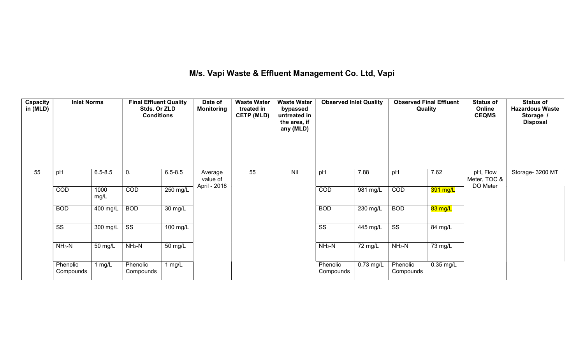## M/s. Vapi Waste & Effluent Management Co. Ltd, Vapi

| Capacity<br>in (MLD) | <b>Inlet Norms</b>    |              | <b>Final Effluent Quality</b><br>Stds. Or ZLD<br><b>Conditions</b> |                    | Date of<br><b>Monitoring</b> | <b>Waste Water</b><br>treated in<br><b>CETP (MLD)</b> | <b>Waste Water</b><br>bypassed<br>untreated in<br>the area, if<br>any (MLD) | <b>Observed Inlet Quality</b> |             | <b>Observed Final Effluent</b><br>Quality |             | <b>Status of</b><br>Online<br><b>CEQMS</b> | <b>Status of</b><br><b>Hazardous Waste</b><br>Storage /<br><b>Disposal</b> |
|----------------------|-----------------------|--------------|--------------------------------------------------------------------|--------------------|------------------------------|-------------------------------------------------------|-----------------------------------------------------------------------------|-------------------------------|-------------|-------------------------------------------|-------------|--------------------------------------------|----------------------------------------------------------------------------|
| 55                   | pH                    | $6.5 - 8.5$  | 0.                                                                 | $6.5 - 8.5$        | Average<br>value of          | 55                                                    | Nil                                                                         | pH                            | 7.88        | pH                                        | 7.62        | pH, Flow<br>Meter, TOC &                   | Storage- 3200 MT                                                           |
|                      | COD                   | 1000<br>mg/L | COD                                                                | $250 \text{ mg/L}$ | April - 2018                 |                                                       |                                                                             | COD                           | 981 mg/L    | COD                                       | 391 mg/L    | DO Meter                                   |                                                                            |
|                      | <b>BOD</b>            | 400 mg/L     | <b>BOD</b>                                                         | 30 mg/L            |                              |                                                       |                                                                             | <b>BOD</b>                    | $230$ mg/L  | <b>BOD</b>                                | 83 mg/L     |                                            |                                                                            |
|                      | SS                    | 300 mg/L     | SS                                                                 | 100 mg/L           |                              |                                                       |                                                                             | SS                            | 445 mg/L    | SS                                        | 84 mg/L     |                                            |                                                                            |
|                      | $NH3-N$               | 50 mg/L      | $NH3-N$                                                            | 50 mg/L            |                              |                                                       |                                                                             | $NH3-N$                       | 72 mg/L     | $NH3-N$                                   | 73 mg/L     |                                            |                                                                            |
|                      | Phenolic<br>Compounds | 1 $mg/L$     | Phenolic<br>Compounds                                              | 1 $mg/L$           |                              |                                                       |                                                                             | Phenolic<br>Compounds         | $0.73$ mg/L | Phenolic<br>Compounds                     | $0.35$ mg/L |                                            |                                                                            |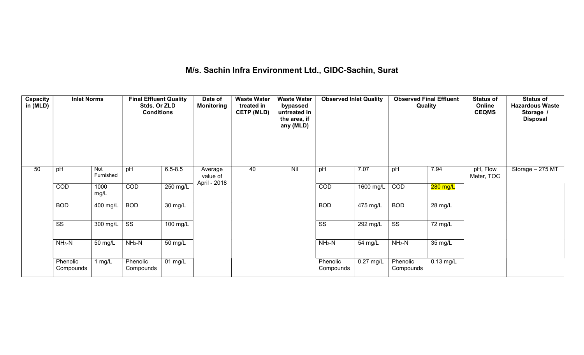# M/s. Sachin Infra Environment Ltd., GIDC-Sachin, Surat

| Capacity<br>in (MLD) | <b>Inlet Norms</b>    |                  | <b>Final Effluent Quality</b><br>Stds. Or ZLD<br><b>Conditions</b> |                      | Date of<br>Monitoring | <b>Waste Water</b><br>treated in<br><b>CETP (MLD)</b> | <b>Waste Water</b><br>bypassed<br>untreated in<br>the area, if<br>any (MLD) | <b>Observed Inlet Quality</b> |                    | <b>Observed Final Effluent</b><br>Quality |                      | <b>Status of</b><br>Online<br><b>CEQMS</b> | <b>Status of</b><br><b>Hazardous Waste</b><br>Storage /<br><b>Disposal</b> |
|----------------------|-----------------------|------------------|--------------------------------------------------------------------|----------------------|-----------------------|-------------------------------------------------------|-----------------------------------------------------------------------------|-------------------------------|--------------------|-------------------------------------------|----------------------|--------------------------------------------|----------------------------------------------------------------------------|
| 50                   | pH                    | Not<br>Furnished | pH                                                                 | $6.5 - 8.5$          | Average<br>value of   | 40                                                    | Nil                                                                         | pH                            | 7.07               | pH                                        | 7.94                 | pH, Flow<br>Meter, TOC                     | Storage - 275 MT                                                           |
|                      | COD                   | 1000<br>mg/L     | COD                                                                | $250$ mg/L           | April - 2018          |                                                       |                                                                             | COD                           | 1600 mg/L          | COD                                       | $280$ mg/L           |                                            |                                                                            |
|                      | <b>BOD</b>            | 400 mg/L         | <b>BOD</b>                                                         | $\overline{30}$ mg/L |                       |                                                       |                                                                             | <b>BOD</b>                    | $475 \text{ mg/L}$ | <b>BOD</b>                                | $\overline{28}$ mg/L |                                            |                                                                            |
|                      | SS                    | 300 mg/L $\vert$ | SS                                                                 | 100 mg/L             |                       |                                                       |                                                                             | $\overline{\text{ss}}$        | 292 mg/L           | SS                                        | 72 mg/L              |                                            |                                                                            |
|                      | $NH3-N$               | 50 mg/L          | $NH3-N$                                                            | 50 mg/L              |                       |                                                       |                                                                             | $NH3-N$                       | 54 mg/L            | $NH3-N$                                   | 35 mg/L              |                                            |                                                                            |
|                      | Phenolic<br>Compounds | 1 mg/L           | Phenolic<br>Compounds                                              | $\overline{01}$ mg/L |                       |                                                       |                                                                             | Phenolic<br>Compounds         | $0.27$ mg/L        | Phenolic<br>Compounds                     | $0.13$ mg/L          |                                            |                                                                            |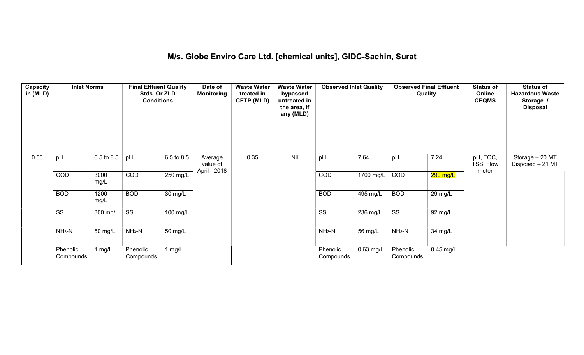## M/s. Globe Enviro Care Ltd. [chemical units], GIDC-Sachin, Surat

| Capacity<br>in (MLD) | <b>Inlet Norms</b>     |              | <b>Final Effluent Quality</b><br>Stds. Or ZLD<br><b>Conditions</b> |                      | Date of<br><b>Monitoring</b>        | <b>Waste Water</b><br>treated in<br><b>CETP (MLD)</b> | <b>Waste Water</b><br>bypassed<br>untreated in<br>the area, if<br>any (MLD) | <b>Observed Inlet Quality</b> |                       | <b>Observed Final Effluent</b><br>Quality |                      | <b>Status of</b><br>Online<br><b>CEQMS</b> | <b>Status of</b><br><b>Hazardous Waste</b><br>Storage /<br><b>Disposal</b> |
|----------------------|------------------------|--------------|--------------------------------------------------------------------|----------------------|-------------------------------------|-------------------------------------------------------|-----------------------------------------------------------------------------|-------------------------------|-----------------------|-------------------------------------------|----------------------|--------------------------------------------|----------------------------------------------------------------------------|
| 0.50                 | pH                     | 6.5 to 8.5   | pH                                                                 | 6.5 to 8.5           | Average<br>value of<br>April - 2018 | 0.35                                                  | Nil                                                                         | pH                            | 7.64                  | pH                                        | 7.24                 | pH, TOC,<br>TSS, Flow<br>meter             | Storage - 20 MT<br>Disposed - 21 MT                                        |
|                      | COD                    | 3000<br>mg/L | COD                                                                | 250 mg/L             |                                     |                                                       |                                                                             | COD                           | $1700$ mg/L           | COD                                       | $290$ mg/L           |                                            |                                                                            |
|                      | <b>BOD</b>             | 1200<br>mg/L | <b>BOD</b>                                                         | $\overline{30}$ mg/L |                                     |                                                       |                                                                             | <b>BOD</b>                    | $\overline{495}$ mg/L | <b>BOD</b>                                | 29 mg/L              |                                            |                                                                            |
|                      | $\overline{\text{ss}}$ | 300 mg/L     | $\overline{\text{ss}}$                                             | $100$ mg/L           |                                     |                                                       |                                                                             | $\overline{\text{SS}}$        | 236 mg/L              | $\overline{\text{ss}}$                    | $\overline{92}$ mg/L |                                            |                                                                            |
|                      | $NH3-N$                | 50 mg/L      | $NH3-N$                                                            | 50 mg/L              |                                     |                                                       |                                                                             | $NH3-N$                       | 56 mg/L               | $NH3-N$                                   | 34 mg/L              |                                            |                                                                            |
|                      | Phenolic<br>Compounds  | 1 $mg/L$     | Phenolic<br>Compounds                                              | 1 $mg/L$             |                                     |                                                       |                                                                             | Phenolic<br>Compounds         | $0.63$ mg/L           | Phenolic<br>Compounds                     | $0.45$ mg/L          |                                            |                                                                            |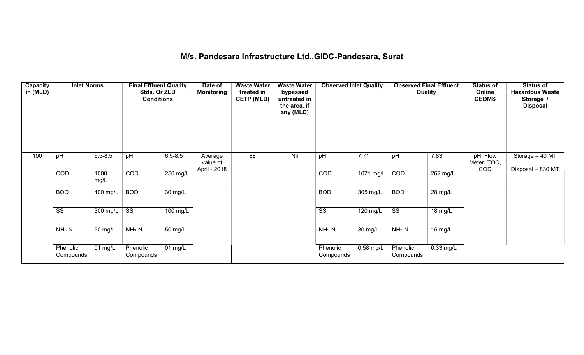## M/s. Pandesara Infrastructure Ltd.,GIDC-Pandesara, Surat

| Capacity<br>in (MLD) | <b>Inlet Norms</b>     |                              | <b>Final Effluent Quality</b><br>Stds. Or ZLD<br><b>Conditions</b> |             | Date of<br>Monitoring | <b>Waste Water</b><br>treated in<br><b>CETP (MLD)</b> | <b>Waste Water</b><br>bypassed<br>untreated in<br>the area, if<br>any (MLD) | <b>Observed Inlet Quality</b> |                       | <b>Observed Final Effluent</b><br>Quality |                      | <b>Status of</b><br>Online<br><b>CEQMS</b> | <b>Status of</b><br><b>Hazardous Waste</b><br>Storage /<br><b>Disposal</b> |
|----------------------|------------------------|------------------------------|--------------------------------------------------------------------|-------------|-----------------------|-------------------------------------------------------|-----------------------------------------------------------------------------|-------------------------------|-----------------------|-------------------------------------------|----------------------|--------------------------------------------|----------------------------------------------------------------------------|
| 100                  | pH                     | $6.5 - 8.5$                  | pH                                                                 | $6.5 - 8.5$ | Average<br>value of   | 88                                                    | Nil                                                                         | pH                            | 7.71                  | pH                                        | 7.83                 | pH, Flow<br>Meter, TOC,<br><b>COD</b>      | Storage - 40 MT                                                            |
|                      | COD                    | 1000<br>mg/L                 | COD                                                                | 250 mg/L    | April - 2018          |                                                       |                                                                             | COD                           | $1071$ mg/L           | COD                                       | $262$ mg/L           |                                            | Disposal - 830 MT                                                          |
|                      | <b>BOD</b>             | 400 mg/L                     | <b>BOD</b>                                                         | 30 mg/L     |                       |                                                       |                                                                             | <b>BOD</b>                    | 305 mg/L              | <b>BOD</b>                                | $\overline{28}$ mg/L |                                            |                                                                            |
|                      | $\overline{\text{ss}}$ | 300 mg/L                     | $\overline{\text{ss}}$                                             | 100 mg/L    |                       |                                                       |                                                                             | $\overline{\text{ss}}$        | $\overline{120}$ mg/L | $\overline{\text{ss}}$                    | 18 mg/L              |                                            |                                                                            |
|                      | $NH3-N$                | 50 mg/L                      | $NH3-N$                                                            | 50 mg/L     |                       |                                                       |                                                                             | $NH3-N$                       | 30 mg/L               | $NH3-N$                                   | 15 mg/L              |                                            |                                                                            |
|                      | Phenolic<br>Compounds  | $\overline{0}1 \text{ mg/L}$ | Phenolic<br>Compounds                                              | 01 mg/L     |                       |                                                       |                                                                             | Phenolic<br>Compounds         | $0.58$ mg/L           | Phenolic<br>Compounds                     | $0.33$ mg/L          |                                            |                                                                            |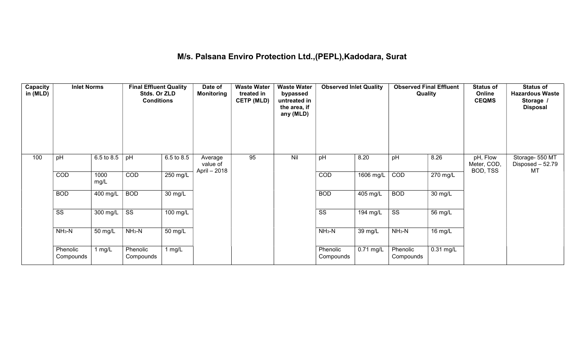## M/s. Palsana Enviro Protection Ltd.,(PEPL),Kadodara, Surat

| Capacity<br>in (MLD) | <b>Inlet Norms</b>     |              | <b>Final Effluent Quality</b><br>Stds. Or ZLD<br><b>Conditions</b> |                       | Date of<br><b>Monitoring</b>        | <b>Waste Water</b><br>treated in<br><b>CETP (MLD)</b> | <b>Waste Water</b><br>bypassed<br>untreated in<br>the area, if<br>any (MLD) | <b>Observed Inlet Quality</b> |             | <b>Observed Final Effluent</b><br><b>Quality</b> |                       | <b>Status of</b><br>Online<br><b>CEQMS</b> | <b>Status of</b><br><b>Hazardous Waste</b><br>Storage /<br><b>Disposal</b> |
|----------------------|------------------------|--------------|--------------------------------------------------------------------|-----------------------|-------------------------------------|-------------------------------------------------------|-----------------------------------------------------------------------------|-------------------------------|-------------|--------------------------------------------------|-----------------------|--------------------------------------------|----------------------------------------------------------------------------|
| 100                  | pH                     | 6.5 to 8.5   | pH                                                                 | 6.5 to 8.5            | Average<br>value of<br>April - 2018 | 95                                                    | Nil                                                                         | pH                            | 8.20        | pH                                               | 8.26                  | pH, Flow<br>Meter, COD,<br>BOD, TSS        | Storage- 550 MT<br>Disposed - 52.79<br>MT                                  |
|                      | COD                    | 1000<br>mg/L | COD                                                                | 250 mg/L              |                                     |                                                       |                                                                             | COD                           | 1606 mg/L   | COD                                              | $\overline{270}$ mg/L |                                            |                                                                            |
|                      | <b>BOD</b>             | 400 mg/L     | <b>BOD</b>                                                         | $\overline{30}$ mg/L  |                                     |                                                       |                                                                             | <b>BOD</b>                    | 405 mg/L    | <b>BOD</b>                                       | 30 mg/L               |                                            |                                                                            |
|                      | $\overline{\text{ss}}$ | 300 mg/L     | $\overline{\text{ss}}$                                             | $\overline{100}$ mg/L |                                     |                                                       |                                                                             | $\overline{\text{SS}}$        | $194$ mg/L  | $\overline{\text{ss}}$                           | 56 mg/L               |                                            |                                                                            |
|                      | $NH3-N$                | 50 mg/L      | $NH3-N$                                                            | 50 mg/L               |                                     |                                                       |                                                                             | $NH3-N$                       | 39 mg/L     | $NH3-N$                                          | 16 mg/L               |                                            |                                                                            |
|                      | Phenolic<br>Compounds  | 1 $mg/L$     | Phenolic<br>Compounds                                              | 1 $mg/L$              |                                     |                                                       |                                                                             | Phenolic<br>Compounds         | $0.71$ mg/L | Phenolic<br>Compounds                            | $0.31$ mg/L           |                                            |                                                                            |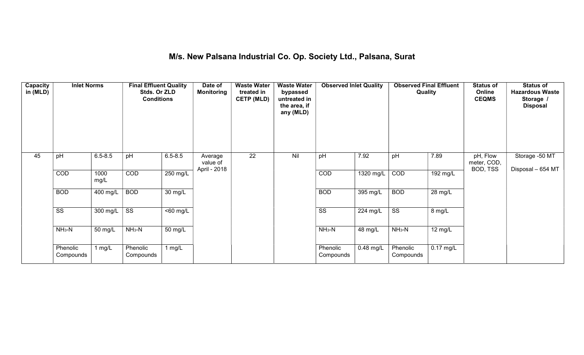#### M/s. New Palsana Industrial Co. Op. Society Ltd., Palsana, Surat

| Capacity<br>in (MLD) | <b>Inlet Norms</b>     |                       | <b>Final Effluent Quality</b><br>Stds. Or ZLD<br><b>Conditions</b> |                       | Date of<br><b>Monitoring</b>        | <b>Waste Water</b><br>treated in<br><b>CETP (MLD)</b> | <b>Waste Water</b><br>bypassed<br>untreated in<br>the area, if<br>any (MLD) | <b>Observed Inlet Quality</b> |             | <b>Observed Final Effluent</b><br><b>Quality</b> |                       | <b>Status of</b><br>Online<br><b>CEQMS</b> | <b>Status of</b><br><b>Hazardous Waste</b><br>Storage /<br><b>Disposal</b> |
|----------------------|------------------------|-----------------------|--------------------------------------------------------------------|-----------------------|-------------------------------------|-------------------------------------------------------|-----------------------------------------------------------------------------|-------------------------------|-------------|--------------------------------------------------|-----------------------|--------------------------------------------|----------------------------------------------------------------------------|
| 45                   | pH                     | $6.5 - 8.5$           | pH                                                                 | $6.5 - 8.5$           | Average<br>value of<br>April - 2018 | $\overline{22}$                                       | Nil                                                                         | pH                            | 7.92        | pH                                               | 7.89                  | pH, Flow<br>meter, COD,<br>BOD, TSS        | Storage -50 MT<br>Disposal - 654 MT                                        |
|                      | COD                    | 1000<br>mg/L          | COD                                                                | $250$ mg/L            |                                     |                                                       |                                                                             | <b>COD</b>                    | 1320 mg/L   | COD                                              | $\overline{192}$ mg/L |                                            |                                                                            |
|                      | <b>BOD</b>             | $\overline{400}$ mg/L | <b>BOD</b>                                                         | $\overline{30}$ mg/L  |                                     |                                                       |                                                                             | <b>BOD</b>                    | 395 mg/L    | <b>BOD</b>                                       | $\overline{28}$ mg/L  |                                            |                                                                            |
|                      | $\overline{\text{ss}}$ | 300 mg/L              | $\overline{\text{ss}}$                                             | $\overline{560}$ mg/L |                                     |                                                       |                                                                             | $\overline{\text{ss}}$        | 224 mg/L    | $\overline{\text{ss}}$                           | 8 mg/L                |                                            |                                                                            |
|                      | $NH3-N$                | 50 mg/L               | $NH3-N$                                                            | 50 mg/L               |                                     |                                                       |                                                                             | $NH3-N$                       | 48 mg/L     | $NH_3-N$                                         | 12 mg/L               |                                            |                                                                            |
|                      | Phenolic<br>Compounds  | 1 mg/ $L$             | Phenolic<br>Compounds                                              | 1 $mg/L$              |                                     |                                                       |                                                                             | Phenolic<br>Compounds         | $0.48$ mg/L | Phenolic<br>Compounds                            | $0.17$ mg/L           |                                            |                                                                            |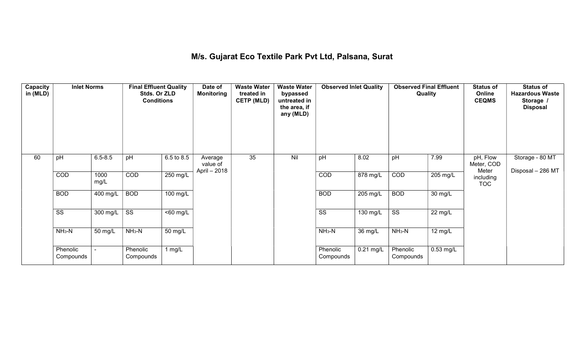#### M/s. Gujarat Eco Textile Park Pvt Ltd, Palsana, Surat

| Capacity<br>in (MLD) | <b>Inlet Norms</b>     |              | <b>Final Effluent Quality</b><br>Stds. Or ZLD<br><b>Conditions</b> |                       | Date of<br><b>Monitoring</b> | <b>Waste Water</b><br>treated in<br><b>CETP (MLD)</b> | <b>Waste Water</b><br>bypassed<br>untreated in<br>the area, if<br>any (MLD) | <b>Observed Inlet Quality</b> |                    | <b>Observed Final Effluent</b><br>Quality |             | <b>Status of</b><br>Online<br><b>CEQMS</b> | <b>Status of</b><br><b>Hazardous Waste</b><br>Storage /<br><b>Disposal</b> |
|----------------------|------------------------|--------------|--------------------------------------------------------------------|-----------------------|------------------------------|-------------------------------------------------------|-----------------------------------------------------------------------------|-------------------------------|--------------------|-------------------------------------------|-------------|--------------------------------------------|----------------------------------------------------------------------------|
| 60                   | pH                     | $6.5 - 8.5$  | pH                                                                 | 6.5 to 8.5            | Average<br>value of          | 35                                                    | Nil                                                                         | pH                            | 8.02               | pH                                        | 7.99        | pH, Flow<br>Meter, COD<br>Meter            | Storage - 80 MT                                                            |
|                      | COD                    | 1000<br>mg/L | COD                                                                | 250 mg/L              | April - 2018                 |                                                       |                                                                             | COD                           | $878$ mg/L         | COD                                       | 205 mg/L    | including<br><b>TOC</b>                    | Disposal - 286 MT                                                          |
|                      | <b>BOD</b>             | 400 mg/L     | <b>BOD</b>                                                         | $\overline{100}$ mg/L |                              |                                                       |                                                                             | <b>BOD</b>                    | 205 mg/L           | <b>BOD</b>                                | 30 mg/L     |                                            |                                                                            |
|                      | $\overline{\text{ss}}$ | 300 mg/L     | $\overline{\text{ss}}$                                             | $\overline{560}$ mg/L |                              |                                                       |                                                                             | $\overline{\text{ss}}$        | $130 \text{ mg/L}$ | $\overline{\text{ss}}$                    | 22 mg/L     |                                            |                                                                            |
|                      | $NH3-N$                | 50 mg/L      | $NH_3-N$                                                           | 50 mg/L               |                              |                                                       |                                                                             | $NH3-N$                       | 36 mg/L            | $NH3-N$                                   | 12 mg/L     |                                            |                                                                            |
|                      | Phenolic<br>Compounds  |              | Phenolic<br>Compounds                                              | 1 $mg/L$              |                              |                                                       |                                                                             | Phenolic<br>Compounds         | $0.21$ mg/L        | Phenolic<br>Compounds                     | $0.53$ mg/L |                                            |                                                                            |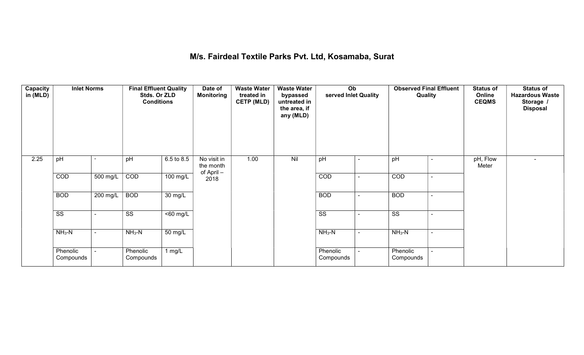#### M/s. Fairdeal Textile Parks Pvt. Ltd, Kosamaba, Surat

| Capacity<br>in (MLD) | <b>Inlet Norms</b>     |                          | <b>Final Effluent Quality</b><br>Stds. Or ZLD<br><b>Conditions</b> |                       | Date of<br><b>Monitoring</b> | <b>Waste Water</b><br>treated in<br><b>CETP (MLD)</b> | <b>Waste Water</b><br>bypassed<br>untreated in<br>the area, if<br>any (MLD) | Ob<br>served Inlet Quality |                          | <b>Observed Final Effluent</b><br>Quality | <b>Status of</b><br>Online<br><b>CEQMS</b> | <b>Status of</b><br><b>Hazardous Waste</b><br>Storage /<br><b>Disposal</b> |
|----------------------|------------------------|--------------------------|--------------------------------------------------------------------|-----------------------|------------------------------|-------------------------------------------------------|-----------------------------------------------------------------------------|----------------------------|--------------------------|-------------------------------------------|--------------------------------------------|----------------------------------------------------------------------------|
| 2.25                 | pH                     |                          | pH                                                                 | 6.5 to 8.5            | No visit in<br>the month     | 1.00                                                  | Nil                                                                         | pH                         |                          | pH<br>۰                                   | pH, Flow<br>Meter                          |                                                                            |
|                      | COD                    | $500$ mg/L               | COD                                                                | 100 mg/L              | of April-<br>2018            |                                                       |                                                                             | COD                        | $\blacksquare$           | COD<br>$\sim$                             |                                            |                                                                            |
|                      | <b>BOD</b>             | $200$ mg/L               | <b>BOD</b>                                                         | $\overline{30}$ mg/L  |                              |                                                       |                                                                             | <b>BOD</b>                 | $\blacksquare$           | <b>BOD</b><br>$\overline{\phantom{0}}$    |                                            |                                                                            |
|                      | $\overline{\text{ss}}$ | $\overline{\phantom{0}}$ | $\overline{\text{ss}}$                                             | $\overline{560}$ mg/L |                              |                                                       |                                                                             | $\overline{\text{ss}}$     | $\overline{\phantom{0}}$ | $\overline{\text{ss}}$<br>$\blacksquare$  |                                            |                                                                            |
|                      | $NH3-N$                | ٠                        | $NH3-N$                                                            | 50 mg/L               |                              |                                                       |                                                                             | $NH3-N$                    | $\sim$                   | $NH3-N$<br>$\sim$                         |                                            |                                                                            |
|                      | Phenolic<br>Compounds  |                          | Phenolic<br>Compounds                                              | 1 $mg/L$              |                              |                                                       |                                                                             | Phenolic<br>Compounds      |                          | Phenolic<br>Compounds                     |                                            |                                                                            |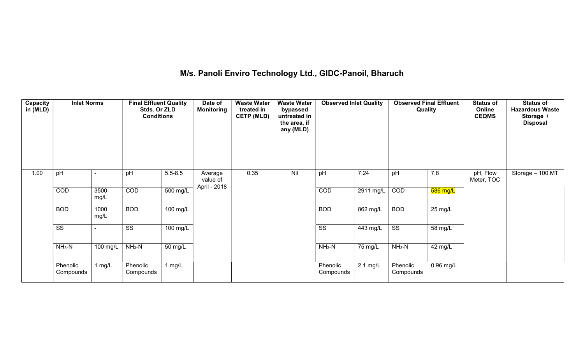# M/s. Panoli Enviro Technology Ltd., GIDC-Panoil, Bharuch

| Capacity<br>in (MLD) | <b>Inlet Norms</b>     |              | <b>Final Effluent Quality</b><br>Stds. Or ZLD<br><b>Conditions</b> |             | Date of<br>Monitoring | <b>Waste Water</b><br>treated in<br><b>CETP (MLD)</b> | <b>Waste Water</b><br>bypassed<br>untreated in<br>the area, if<br>any (MLD) | <b>Observed Inlet Quality</b> |                       | <b>Observed Final Effluent</b><br>Quality |             | <b>Status of</b><br>Online<br><b>CEQMS</b> | <b>Status of</b><br><b>Hazardous Waste</b><br>Storage /<br><b>Disposal</b> |
|----------------------|------------------------|--------------|--------------------------------------------------------------------|-------------|-----------------------|-------------------------------------------------------|-----------------------------------------------------------------------------|-------------------------------|-----------------------|-------------------------------------------|-------------|--------------------------------------------|----------------------------------------------------------------------------|
| 1.00                 | pH                     |              | pH                                                                 | $5.5 - 8.5$ | Average<br>value of   | 0.35                                                  | Nil                                                                         | pH                            | 7.24                  | pH                                        | 7.8         | pH, Flow<br>Meter, TOC                     | Storage - 100 MT                                                           |
|                      | COD                    | 3500<br>mg/L | COD                                                                | 500 mg/L    | April - 2018          |                                                       |                                                                             | COD                           | $2911$ mg/L           | COD                                       | $586$ mg/L  |                                            |                                                                            |
|                      | <b>BOD</b>             | 1000<br>mg/L | <b>BOD</b>                                                         | 100 mg/L    |                       |                                                       |                                                                             | <b>BOD</b>                    | $862$ mg/L            | <b>BOD</b>                                | 25 mg/L     |                                            |                                                                            |
|                      | $\overline{\text{ss}}$ |              | $\overline{\text{ss}}$                                             | 100 mg/L    |                       |                                                       |                                                                             | $\overline{\text{ss}}$        | $\overline{44}3$ mg/L | $\overline{\text{ss}}$                    | 58 mg/L     |                                            |                                                                            |
|                      | $NH3-N$                | 100 mg/L     | $NH3-N$                                                            | 50 mg/L     |                       |                                                       |                                                                             | $NH3-N$                       | 75 mg/L               | $NH3-N$                                   | 42 mg/L     |                                            |                                                                            |
|                      | Phenolic<br>Compounds  | 1 $mg/L$     | Phenolic<br>Compounds                                              | 1 $mg/L$    |                       |                                                       |                                                                             | Phenolic<br>Compounds         | $2.1 \text{ mg/L}$    | Phenolic<br>Compounds                     | $0.96$ mg/L |                                            |                                                                            |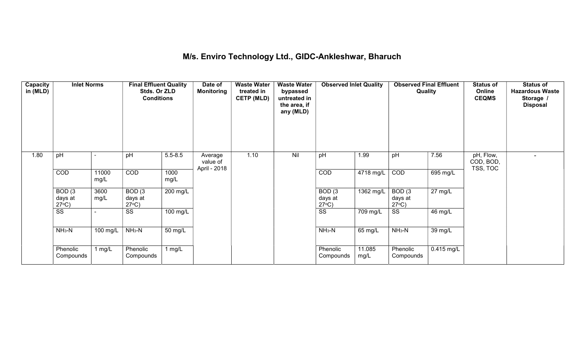## M/s. Enviro Technology Ltd., GIDC-Ankleshwar, Bharuch

| Capacity<br>in (MLD) | <b>Inlet Norms</b>                              |                       | <b>Final Effluent Quality</b><br>Stds. Or ZLD<br><b>Conditions</b> |                      | Date of<br><b>Monitoring</b>        | <b>Waste Water</b><br>treated in<br><b>CETP (MLD)</b> | <b>Waste Water</b><br>bypassed<br>untreated in<br>the area, if<br>any (MLD) | <b>Observed Inlet Quality</b>        |                | <b>Observed Final Effluent</b><br>Quality |                   | <b>Status of</b><br>Online<br><b>CEQMS</b> | <b>Status of</b><br><b>Hazardous Waste</b><br>Storage /<br><b>Disposal</b> |
|----------------------|-------------------------------------------------|-----------------------|--------------------------------------------------------------------|----------------------|-------------------------------------|-------------------------------------------------------|-----------------------------------------------------------------------------|--------------------------------------|----------------|-------------------------------------------|-------------------|--------------------------------------------|----------------------------------------------------------------------------|
| 1.80                 | pH                                              |                       | pH                                                                 | $5.5 - 8.5$          | Average<br>value of<br>April - 2018 | 1.10                                                  | Nil                                                                         | pH                                   | 1.99           | pH                                        | 7.56              | pH, Flow,<br>COD, BOD,<br>TSS, TOC         |                                                                            |
|                      | COD                                             | 11000<br>mg/L         | COD                                                                | 1000<br>mg/L         |                                     |                                                       |                                                                             | COD                                  | 4718 mg/L      | COD                                       | 695 mg/L          |                                            |                                                                            |
|                      | BOD <sub>(3</sub><br>days at<br>$27^{\circ}C$ ) | 3600<br>mg/L          | BOD(3)<br>days at<br>$27^{\circ}C$ )                               | 200 mg/L             |                                     |                                                       |                                                                             | BOD(3)<br>days at<br>$27^{\circ}C$ ) | 1362 mg/L      | BOD(3)<br>days at<br>$27^{\circ}C$ )      | $27 \text{ mg/L}$ |                                            |                                                                            |
|                      | $\overline{\text{ss}}$                          |                       | SS                                                                 | 100 mg/L             |                                     |                                                       |                                                                             | $\overline{\text{ss}}$               | 709 mg/L       | SS                                        | 46 mg/L           |                                            |                                                                            |
|                      | $NH3-N$                                         | $\overline{100}$ mg/L | $NH3-N$                                                            | $\overline{50}$ mg/L |                                     |                                                       |                                                                             | $NH3-N$                              | 65 mg/L        | $NH3-N$                                   | 39 mg/L           |                                            |                                                                            |
|                      | Phenolic<br>Compounds                           | 1 mg/L                | Phenolic<br>Compounds                                              | 1 $mg/L$             |                                     |                                                       |                                                                             | Phenolic<br>Compounds                | 11.085<br>mg/L | Phenolic<br>Compounds                     | $0.415$ mg/L      |                                            |                                                                            |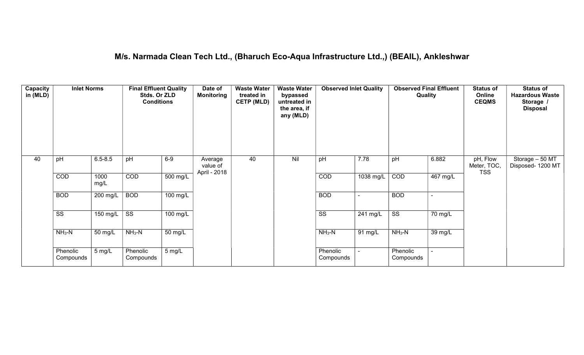#### M/s. Narmada Clean Tech Ltd., (Bharuch Eco-Aqua Infrastructure Ltd.,) (BEAIL), Ankleshwar

| <b>Capacity</b><br>in (MLD) | <b>Inlet Norms</b>     |              | <b>Final Effluent Quality</b><br>Stds. Or ZLD<br><b>Conditions</b> |                       | Date of<br><b>Monitoring</b>        | <b>Waste Water</b><br>treated in<br><b>CETP (MLD)</b> | <b>Waste Water</b><br>bypassed<br>untreated in<br>the area, if<br>any (MLD) | <b>Observed Inlet Quality</b> |                       | <b>Observed Final Effluent</b><br>Quality |                      | <b>Status of</b><br>Online<br><b>CEQMS</b> | <b>Status of</b><br><b>Hazardous Waste</b><br>Storage /<br><b>Disposal</b> |
|-----------------------------|------------------------|--------------|--------------------------------------------------------------------|-----------------------|-------------------------------------|-------------------------------------------------------|-----------------------------------------------------------------------------|-------------------------------|-----------------------|-------------------------------------------|----------------------|--------------------------------------------|----------------------------------------------------------------------------|
| 40                          | pH                     | $6.5 - 8.5$  | pH                                                                 | $6-9$                 | Average<br>value of<br>April - 2018 | 40                                                    | Nil                                                                         | pH                            | 7.78                  | pH                                        | 6.882                | pH, Flow<br>Meter, TOC,<br><b>TSS</b>      | Storage - 50 MT<br>Disposed- 1200 MT                                       |
|                             | COD                    | 1000<br>mg/L | COD                                                                | $\overline{500}$ mg/L |                                     |                                                       |                                                                             | COD                           | 1038 mg/L             | COD                                       | $467$ mg/L           |                                            |                                                                            |
|                             | <b>BOD</b>             | 200 mg/L     | <b>BOD</b>                                                         | 100 mg/L              |                                     |                                                       |                                                                             | <b>BOD</b>                    |                       | <b>BOD</b>                                | ÷                    |                                            |                                                                            |
|                             | $\overline{\text{ss}}$ | 150 mg/L     | $\overline{\text{ss}}$                                             | $100 \text{ mg/L}$    |                                     |                                                       |                                                                             | $\overline{\text{ss}}$        | $\overline{241}$ mg/L | $\overline{\text{ss}}$                    | $\overline{70}$ mg/L |                                            |                                                                            |
|                             | $NH3-N$                | 50 mg/L      | $NH3-N$                                                            | 50 mg/L               |                                     |                                                       |                                                                             | $NH3-N$                       | 91 mg/L               | $NH3-N$                                   | 39 mg/L              |                                            |                                                                            |
|                             | Phenolic<br>Compounds  | 5 mg/L       | Phenolic<br>Compounds                                              | 5 mg/L                |                                     |                                                       |                                                                             | Phenolic<br>Compounds         |                       | Phenolic<br>Compounds                     | $\sim$               |                                            |                                                                            |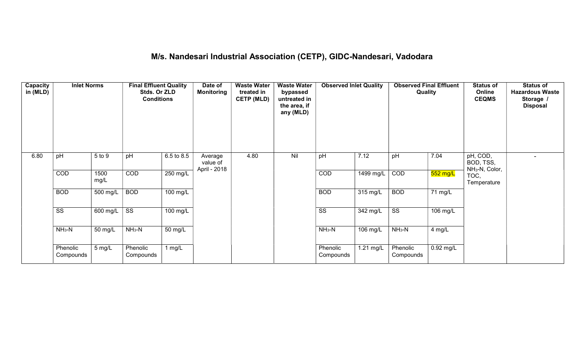# M/s. Nandesari Industrial Association (CETP), GIDC-Nandesari, Vadodara

| Capacity<br>in (MLD) | <b>Inlet Norms</b>     |              | <b>Final Effluent Quality</b><br>Stds. Or ZLD<br><b>Conditions</b> |                    | Date of<br>Monitoring               | <b>Waste Water</b><br>treated in<br><b>CETP (MLD)</b> | <b>Waste Water</b><br>bypassed<br>untreated in<br>the area, if<br>any (MLD) | <b>Observed Inlet Quality</b> |                    | <b>Observed Final Effluent</b><br>Quality |                      | <b>Status of</b><br>Online<br><b>CEQMS</b>          | <b>Status of</b><br><b>Hazardous Waste</b><br>Storage /<br><b>Disposal</b> |
|----------------------|------------------------|--------------|--------------------------------------------------------------------|--------------------|-------------------------------------|-------------------------------------------------------|-----------------------------------------------------------------------------|-------------------------------|--------------------|-------------------------------------------|----------------------|-----------------------------------------------------|----------------------------------------------------------------------------|
| 6.80                 | pH                     | 5 to 9       | pH                                                                 | 6.5 to 8.5         | Average<br>value of<br>April - 2018 | 4.80                                                  | Nil                                                                         | pH                            | 7.12               | pH                                        | 7.04                 | pH, COD,<br>BOD, TSS,<br>NH <sub>3</sub> -N, Color, |                                                                            |
|                      | COD                    | 1500<br>mg/L | COD                                                                | $250$ mg/L         |                                     |                                                       |                                                                             | COD                           | $1499$ mg/L        | COD                                       | $552$ mg/L           | TOC,<br>Temperature                                 |                                                                            |
|                      | <b>BOD</b>             | 500 mg/L     | <b>BOD</b>                                                         | 100 mg/L           |                                     |                                                       |                                                                             | <b>BOD</b>                    | $315 \text{ mg/L}$ | <b>BOD</b>                                | $\overline{71}$ mg/L |                                                     |                                                                            |
|                      | $\overline{\text{ss}}$ | 600 mg/L     | $\overline{\text{ss}}$                                             | $100 \text{ mg/L}$ |                                     |                                                       |                                                                             | $\overline{\text{ss}}$        | 342 mg/L           | $\overline{\text{ss}}$                    | 106 mg/L             |                                                     |                                                                            |
|                      | $NH3-N$                | 50 mg/L      | $NH3-N$                                                            | 50 mg/L            |                                     |                                                       |                                                                             | $NH3-N$                       | 106 mg/L           | $NH3-N$                                   | 4 mg/L               |                                                     |                                                                            |
|                      | Phenolic<br>Compounds  | 5 mg/L       | Phenolic<br>Compounds                                              | 1 mg/L             |                                     |                                                       |                                                                             | Phenolic<br>Compounds         | 1.21 mg/L          | Phenolic<br>Compounds                     | $0.92$ mg/L          |                                                     |                                                                            |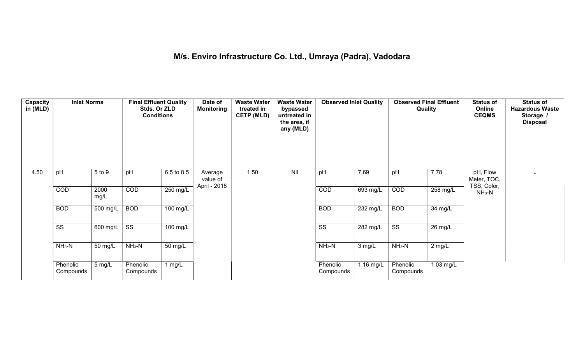## M/s. Enviro Infrastructure Co. Ltd., Umraya (Padra), Vadodara

| Capacity<br>in (MLD) | <b>Inlet Norms</b>     |              | <b>Final Effluent Quality</b><br>Stds. Or ZLD<br><b>Conditions</b> |            | Date of<br><b>Monitoring</b> | <b>Waste Water</b><br>treated in<br><b>CETP (MLD)</b> | <b>Waste Water</b><br>bypassed<br>untreated in<br>the area, if<br>any (MLD) | <b>Observed Inlet Quality</b> |                    | <b>Observed Final Effluent</b><br>Quality |                      | <b>Status of</b><br>Online<br><b>CEQMS</b> | <b>Status of</b><br><b>Hazardous Waste</b><br>Storage /<br><b>Disposal</b> |
|----------------------|------------------------|--------------|--------------------------------------------------------------------|------------|------------------------------|-------------------------------------------------------|-----------------------------------------------------------------------------|-------------------------------|--------------------|-------------------------------------------|----------------------|--------------------------------------------|----------------------------------------------------------------------------|
| 4.50                 | pH                     | 5 to 9       | pH                                                                 | 6.5 to 8.5 | Average<br>value of          | 1.50                                                  | Nil                                                                         | pH                            | 7.69               | pH                                        | 7.78                 | pH, Flow<br>Meter, TOC,                    |                                                                            |
|                      | COD                    | 2000<br>mg/L | COD                                                                | 250 mg/L   | April - 2018                 |                                                       |                                                                             | COD                           | 693 mg/L           | COD                                       | 258 mg/L             | TSS, Color,<br>$NH3-N$                     |                                                                            |
|                      | <b>BOD</b>             | 500 mg/L     | <b>BOD</b>                                                         | $100$ mg/L |                              |                                                       |                                                                             | <b>BOD</b>                    | $232 \text{ mg/L}$ | <b>BOD</b>                                | $\overline{34}$ mg/L |                                            |                                                                            |
|                      | $\overline{\text{ss}}$ | 600 mg/L     | $\overline{\text{ss}}$                                             | 100 mg/L   |                              |                                                       |                                                                             | $\overline{\text{ss}}$        | 282 mg/L           | $\overline{\text{ss}}$                    | 26 mg/L              |                                            |                                                                            |
|                      | $NH3-N$                | 50 mg/L      | $NH3-N$                                                            | 50 mg/L    |                              |                                                       |                                                                             | $NH_3-N$                      | $3$ mg/L           | $NH_3-N$                                  | $2$ mg/L             |                                            |                                                                            |
|                      | Phenolic<br>Compounds  | 5 mg/L       | Phenolic<br>Compounds                                              | 1 $mg/L$   |                              |                                                       |                                                                             | Phenolic<br>Compounds         | 1.16 mg/L          | Phenolic<br>Compounds                     | 1.03 mg/L            |                                            |                                                                            |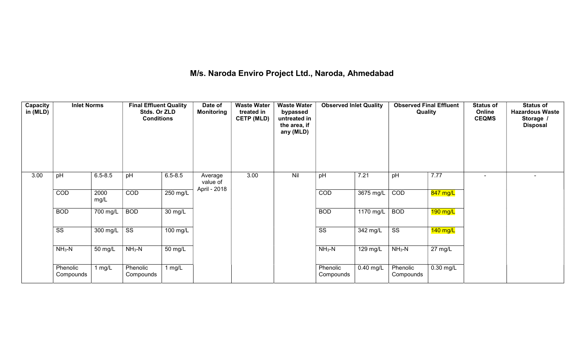## M/s. Naroda Enviro Project Ltd., Naroda, Ahmedabad

| <b>Capacity</b><br>in (MLD) | <b>Inlet Norms</b>     |              | <b>Final Effluent Quality</b><br>Stds. Or ZLD<br><b>Conditions</b> |                      | Date of<br><b>Monitoring</b>        | <b>Waste Water</b><br>treated in<br><b>CETP (MLD)</b> | <b>Waste Water</b><br>bypassed<br>untreated in<br>the area, if<br>any (MLD) | <b>Observed Inlet Quality</b> |                       | <b>Observed Final Effluent</b><br>Quality |                       | <b>Status of</b><br>Online<br><b>CEQMS</b> | <b>Status of</b><br><b>Hazardous Waste</b><br>Storage /<br><b>Disposal</b> |
|-----------------------------|------------------------|--------------|--------------------------------------------------------------------|----------------------|-------------------------------------|-------------------------------------------------------|-----------------------------------------------------------------------------|-------------------------------|-----------------------|-------------------------------------------|-----------------------|--------------------------------------------|----------------------------------------------------------------------------|
| 3.00                        | pH                     | $6.5 - 8.5$  | pH                                                                 | $6.5 - 8.5$          | Average<br>value of<br>April - 2018 | 3.00                                                  | Nil                                                                         | pH                            | 7.21                  | pH                                        | 7.77                  | $\overline{\phantom{0}}$                   |                                                                            |
|                             | COD                    | 2000<br>mg/L | COD                                                                | $250 \text{ mg/L}$   |                                     |                                                       |                                                                             | COD                           | 3675 mg/L             | COD                                       | 847 mg/L              |                                            |                                                                            |
|                             | <b>BOD</b>             | 700 mg/L     | <b>BOD</b>                                                         | $\overline{30}$ mg/L |                                     |                                                       |                                                                             | <b>BOD</b>                    | 1170 mg/L             | <b>BOD</b>                                | $190$ mg/L            |                                            |                                                                            |
|                             | $\overline{\text{SS}}$ | 300 mg/L     | $\overline{\text{SS}}$                                             | $100$ mg/L           |                                     |                                                       |                                                                             | $\overline{\text{SS}}$        | $\overline{342}$ mg/L | $\overline{\text{ss}}$                    | $\overline{140}$ mg/L |                                            |                                                                            |
|                             | $NH3-N$                | 50 mg/L      | $NH3-N$                                                            | $\overline{50}$ mg/L |                                     |                                                       |                                                                             | $NH3-N$                       | 129 mg/L              | $NH3-N$                                   | 27 mg/L               |                                            |                                                                            |
|                             | Phenolic<br>Compounds  | 1 mg/L       | Phenolic<br>Compounds                                              | 1 mg/L               |                                     |                                                       |                                                                             | Phenolic<br>Compounds         | $0.40$ mg/L           | Phenolic<br>Compounds                     | 0.30 mg/L             |                                            |                                                                            |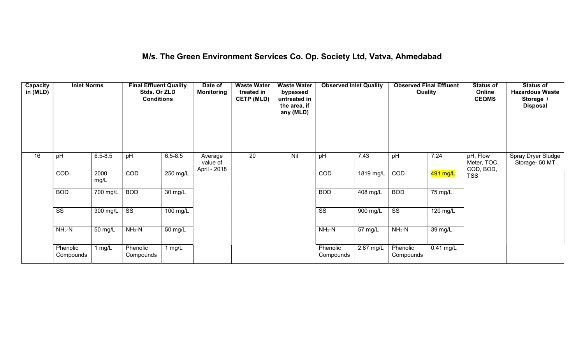## M/s. The Green Environment Services Co. Op. Society Ltd, Vatva, Ahmedabad

| Capacity<br>in (MLD) | <b>Inlet Norms</b>     |              | <b>Final Effluent Quality</b><br>Stds. Or ZLD<br><b>Conditions</b> |                    | Date of<br><b>Monitoring</b>        | <b>Waste Water</b><br>treated in<br><b>CETP (MLD)</b> | <b>Waste Water</b><br>bypassed<br>untreated in<br>the area, if<br>any (MLD) | <b>Observed Inlet Quality</b> |             | <b>Observed Final Effluent</b><br>Quality |                      | <b>Status of</b><br>Online<br><b>CEQMS</b> | <b>Status of</b><br><b>Hazardous Waste</b><br>Storage<br><b>Disposal</b> |
|----------------------|------------------------|--------------|--------------------------------------------------------------------|--------------------|-------------------------------------|-------------------------------------------------------|-----------------------------------------------------------------------------|-------------------------------|-------------|-------------------------------------------|----------------------|--------------------------------------------|--------------------------------------------------------------------------|
| 16                   | pH                     | $6.5 - 8.5$  | pH                                                                 | $6.5 - 8.5$        | Average<br>value of<br>April - 2018 | $\overline{20}$                                       | Nil                                                                         | pH                            | 7.43        | pH                                        | 7.24                 | pH, Flow<br>Meter, TOC,<br>COD, BOD,       | Spray Dryer Sludge<br>Storage- 50 MT                                     |
|                      | COD                    | 2000<br>mg/L | COD                                                                | 250 mg/L           |                                     |                                                       |                                                                             | COD                           | $1819$ mg/L | COD                                       | 491 mg/L             | <b>TSS</b>                                 |                                                                          |
|                      | <b>BOD</b>             | 700 mg/L     | <b>BOD</b>                                                         | $30 \text{ mg/L}$  |                                     |                                                       |                                                                             | <b>BOD</b>                    | $408$ mg/L  | <b>BOD</b>                                | $\overline{75}$ mg/L |                                            |                                                                          |
|                      | $\overline{\text{ss}}$ | 300 mg/L     | $\overline{\text{ss}}$                                             | $100 \text{ mg/L}$ |                                     |                                                       |                                                                             | $\overline{\text{ss}}$        | 900 mg/L    | $\overline{\text{ss}}$                    | 120 mg/L             |                                            |                                                                          |
|                      | $NH3-N$                | 50 mg/L      | $NH_3-N$                                                           | 50 mg/L            |                                     |                                                       |                                                                             | $NH3-N$                       | 57 mg/L     | $NH3-N$                                   | 39 mg/L              |                                            |                                                                          |
|                      | Phenolic<br>Compounds  | 1 $mg/L$     | Phenolic<br>Compounds                                              | 1 mg/L             |                                     |                                                       |                                                                             | Phenolic<br>Compounds         | 2.87 mg/L   | Phenolic<br>Compounds                     | $0.41$ mg/L          |                                            |                                                                          |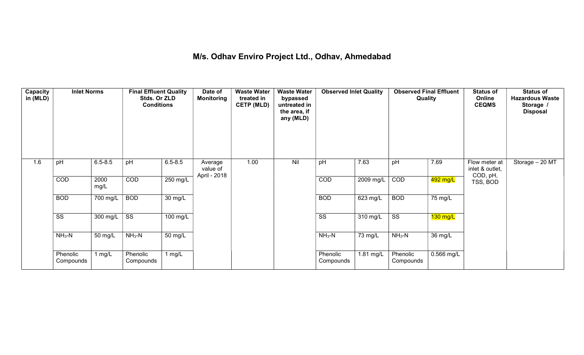## M/s. Odhav Enviro Project Ltd., Odhav, Ahmedabad

| Capacity<br>in (MLD) | <b>Inlet Norms</b>    |                  | <b>Final Effluent Quality</b><br>Stds. Or ZLD<br><b>Conditions</b> |             | Date of<br><b>Monitoring</b> | <b>Waste Water</b><br>treated in<br><b>CETP (MLD)</b> | <b>Waste Water</b><br>bypassed<br>untreated in<br>the area, if<br>any (MLD) | <b>Observed Inlet Quality</b> |            | <b>Observed Final Effluent</b><br>Quality |            | <b>Status of</b><br>Online<br><b>CEQMS</b> | <b>Status of</b><br><b>Hazardous Waste</b><br>Storage /<br><b>Disposal</b> |
|----------------------|-----------------------|------------------|--------------------------------------------------------------------|-------------|------------------------------|-------------------------------------------------------|-----------------------------------------------------------------------------|-------------------------------|------------|-------------------------------------------|------------|--------------------------------------------|----------------------------------------------------------------------------|
| 1.6                  | pH                    | $6.5 - 8.5$      | pH                                                                 | $6.5 - 8.5$ | Average<br>value of          | 1.00                                                  | Nil                                                                         | pH                            | 7.63       | pH                                        | 7.69       | Flow meter at<br>inlet & outlet,           | Storage - 20 MT                                                            |
|                      | COD                   | 2000<br>mg/L     | COD                                                                | 250 mg/L    | April - 2018                 |                                                       |                                                                             | COD                           | 2009 mg/L  | COD                                       | 492 mg/L   | COD, pH,<br>TSS, BOD                       |                                                                            |
|                      | <b>BOD</b>            | $700$ mg/L       | <b>BOD</b>                                                         | 30 mg/L     |                              |                                                       |                                                                             | <b>BOD</b>                    | $623$ mg/L | <b>BOD</b>                                | 75 mg/L    |                                            |                                                                            |
|                      | SS                    | 300 mg/L $\vert$ | $\overline{\text{ss}}$                                             | 100 mg/L    |                              |                                                       |                                                                             | SS                            | 310 mg/L   | $\overline{\text{ss}}$                    | $130$ mg/L |                                            |                                                                            |
|                      | $NH3-N$               | 50 mg/L          | $NH3-N$                                                            | 50 mg/L     |                              |                                                       |                                                                             | $NH3-N$                       | 73 mg/L    | $NH3-N$                                   | 36 mg/L    |                                            |                                                                            |
|                      | Phenolic<br>Compounds | 1 mg/L           | Phenolic<br>Compounds                                              | 1 $mg/L$    |                              |                                                       |                                                                             | Phenolic<br>Compounds         | 1.81 mg/L  | Phenolic<br>Compounds                     | 0.566 mg/L |                                            |                                                                            |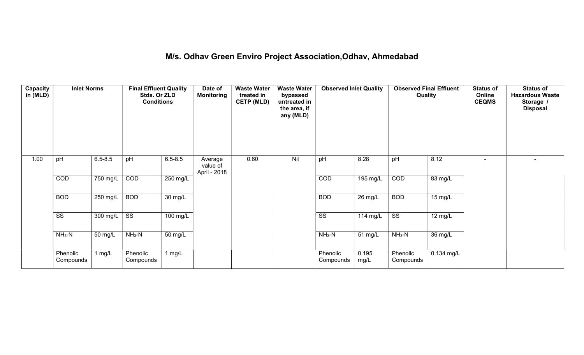## M/s. Odhav Green Enviro Project Association,Odhav, Ahmedabad

| Capacity<br>in (MLD) | <b>Inlet Norms</b>     |             | <b>Final Effluent Quality</b><br>Stds. Or ZLD<br><b>Conditions</b> |                      | Date of<br><b>Monitoring</b>        | <b>Waste Water</b><br>treated in<br><b>CETP (MLD)</b> | <b>Waste Water</b><br>bypassed<br>untreated in<br>the area, if<br>any (MLD) | <b>Observed Inlet Quality</b> |               | <b>Observed Final Effluent</b><br>Quality |                   | <b>Status of</b><br>Online<br><b>CEQMS</b> | <b>Status of</b><br><b>Hazardous Waste</b><br>Storage /<br><b>Disposal</b> |
|----------------------|------------------------|-------------|--------------------------------------------------------------------|----------------------|-------------------------------------|-------------------------------------------------------|-----------------------------------------------------------------------------|-------------------------------|---------------|-------------------------------------------|-------------------|--------------------------------------------|----------------------------------------------------------------------------|
| 1.00                 | pH                     | $6.5 - 8.5$ | pH                                                                 | $6.5 - 8.5$          | Average<br>value of<br>April - 2018 | 0.60                                                  | Nil                                                                         | pH                            | 8.28          | pH                                        | 8.12              | $\overline{\phantom{a}}$                   | $\blacksquare$                                                             |
|                      | COD                    | 750 mg/L    | COD                                                                | 250 mg/L             |                                     |                                                       |                                                                             | COD                           | 195 mg/L      | COD                                       | 83 mg/L           |                                            |                                                                            |
|                      | <b>BOD</b>             | 250 mg/L    | <b>BOD</b>                                                         | $\overline{30}$ mg/L |                                     |                                                       |                                                                             | <b>BOD</b>                    | $26$ mg/L     | <b>BOD</b>                                | $15 \text{ mg/L}$ |                                            |                                                                            |
|                      | $\overline{\text{ss}}$ | 300 mg/L    | $\overline{\text{ss}}$                                             | $100$ mg/L           |                                     |                                                       |                                                                             | $\overline{\text{ss}}$        | 114 mg/L      | $\overline{\text{ss}}$                    | $12 \text{ mg/L}$ |                                            |                                                                            |
|                      | $NH3-N$                | 50 mg/L     | $NH3-N$                                                            | $\overline{50}$ mg/L |                                     |                                                       |                                                                             | $NH3-N$                       | 51 mg/L       | $NH3-N$                                   | 36 mg/L           |                                            |                                                                            |
|                      | Phenolic<br>Compounds  | 1 $mg/L$    | Phenolic<br>Compounds                                              | 1 $mg/L$             |                                     |                                                       |                                                                             | Phenolic<br>Compounds         | 0.195<br>mg/L | Phenolic<br>Compounds                     | $0.134$ mg/L      |                                            |                                                                            |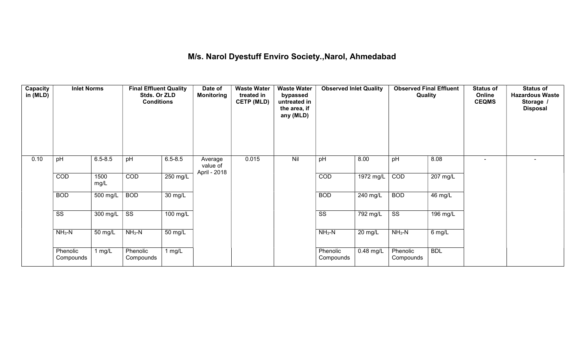## M/s. Narol Dyestuff Enviro Society.,Narol, Ahmedabad

| Capacity<br>in (MLD) | <b>Inlet Norms</b>     |              | <b>Final Effluent Quality</b><br>Stds. Or ZLD<br><b>Conditions</b> |                    | Date of<br><b>Monitoring</b>        | <b>Waste Water</b><br>treated in<br><b>CETP (MLD)</b> | <b>Waste Water</b><br>bypassed<br>untreated in<br>the area, if<br>any (MLD) | <b>Observed Inlet Quality</b> |                       | <b>Observed Final Effluent</b><br>Quality |                    | <b>Status of</b><br>Online<br><b>CEQMS</b> | <b>Status of</b><br><b>Hazardous Waste</b><br>Storage /<br><b>Disposal</b> |
|----------------------|------------------------|--------------|--------------------------------------------------------------------|--------------------|-------------------------------------|-------------------------------------------------------|-----------------------------------------------------------------------------|-------------------------------|-----------------------|-------------------------------------------|--------------------|--------------------------------------------|----------------------------------------------------------------------------|
| 0.10                 | pH                     | $6.5 - 8.5$  | pH                                                                 | $6.5 - 8.5$        | Average<br>value of<br>April - 2018 | 0.015                                                 | Nil                                                                         | pH                            | 8.00                  | pH                                        | 8.08               | $\sim$                                     | $\overline{\phantom{0}}$                                                   |
|                      | COD                    | 1500<br>mg/L | COD                                                                | $250 \text{ mg/L}$ |                                     |                                                       |                                                                             | COD                           | 1972 mg/L             | COD                                       | $207 \text{ mg/L}$ |                                            |                                                                            |
|                      | <b>BOD</b>             | 500 mg/L     | <b>BOD</b>                                                         | 30 mg/L            |                                     |                                                       |                                                                             | <b>BOD</b>                    | 240 mg/L              | <b>BOD</b>                                | 46 mg/L            |                                            |                                                                            |
|                      | $\overline{\text{ss}}$ | 300 mg/L     | $\overline{\text{ss}}$                                             | $100$ mg/L         |                                     |                                                       |                                                                             | $\overline{\text{ss}}$        | $\overline{792}$ mg/L | $\overline{\text{ss}}$                    | 196 mg/L           |                                            |                                                                            |
|                      | $NH3-N$                | 50 mg/L      | $NH_3-N$                                                           | 50 mg/L            |                                     |                                                       |                                                                             | $NH_3-N$                      | 20 mg/L               | $NH_3-N$                                  | 6 mg/L             |                                            |                                                                            |
|                      | Phenolic<br>Compounds  | 1 $mg/L$     | Phenolic<br>Compounds                                              | 1 $mg/L$           |                                     |                                                       |                                                                             | Phenolic<br>Compounds         | $0.48$ mg/L           | Phenolic<br>Compounds                     | <b>BDL</b>         |                                            |                                                                            |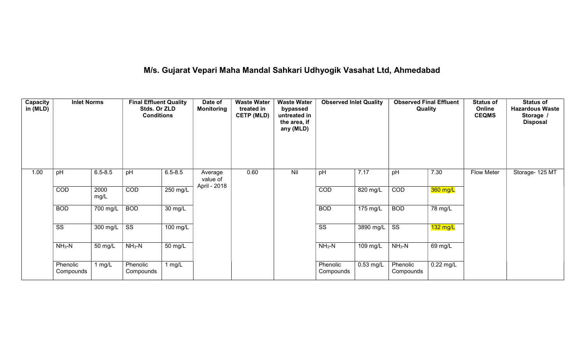# M/s. Gujarat Vepari Maha Mandal Sahkari Udhyogik Vasahat Ltd, Ahmedabad

| Capacity<br>in (MLD) | <b>Inlet Norms</b>     |              | <b>Final Effluent Quality</b><br>Stds. Or ZLD<br><b>Conditions</b> |                      | Date of<br><b>Monitoring</b> | <b>Waste Water</b><br>treated in<br><b>CETP (MLD)</b> | <b>Waste Water</b><br>bypassed<br>untreated in<br>the area, if<br>any (MLD) | <b>Observed Inlet Quality</b> |                    | Quality                | <b>Observed Final Effluent</b> | <b>Status of</b><br>Online<br><b>CEQMS</b> | <b>Status of</b><br><b>Hazardous Waste</b><br>Storage<br><b>Disposal</b> |
|----------------------|------------------------|--------------|--------------------------------------------------------------------|----------------------|------------------------------|-------------------------------------------------------|-----------------------------------------------------------------------------|-------------------------------|--------------------|------------------------|--------------------------------|--------------------------------------------|--------------------------------------------------------------------------|
| 1.00                 | pH                     | $6.5 - 8.5$  | pH                                                                 | $6.5 - 8.5$          | Average<br>value of          | 0.60                                                  | Nil                                                                         | pH                            | 7.17               | pH                     | 7.30                           | Flow Meter                                 | Storage- 125 MT                                                          |
|                      | COD                    | 2000<br>mg/L | COD                                                                | 250 mg/L             | April - 2018                 |                                                       |                                                                             | COD                           | 820 mg/L           | COD                    | 360 mg/L                       |                                            |                                                                          |
|                      | <b>BOD</b>             | 700 mg/L     | <b>BOD</b>                                                         | $\overline{30}$ mg/L |                              |                                                       |                                                                             | <b>BOD</b>                    | $175 \text{ mg/L}$ | <b>BOD</b>             | 78 mg/L                        |                                            |                                                                          |
|                      | $\overline{\text{ss}}$ | 300 mg/L     | $\overline{\text{ss}}$                                             | 100 mg/L             |                              |                                                       |                                                                             | $\overline{\text{ss}}$        | 3890 mg/L          | $\overline{\text{ss}}$ | $132$ mg/L                     |                                            |                                                                          |
|                      | $NH3-N$                | 50 mg/L      | $NH3-N$                                                            | 50 mg/L              |                              |                                                       |                                                                             | $NH3-N$                       | 109 mg/L           | $NH_3-N$               | 69 mg/L                        |                                            |                                                                          |
|                      | Phenolic<br>Compounds  | 1 $mg/L$     | Phenolic<br>Compounds                                              | $1$ mg/L             |                              |                                                       |                                                                             | Phenolic<br>Compounds         | $0.53$ mg/L        | Phenolic<br>Compounds  | $0.22$ mg/L                    |                                            |                                                                          |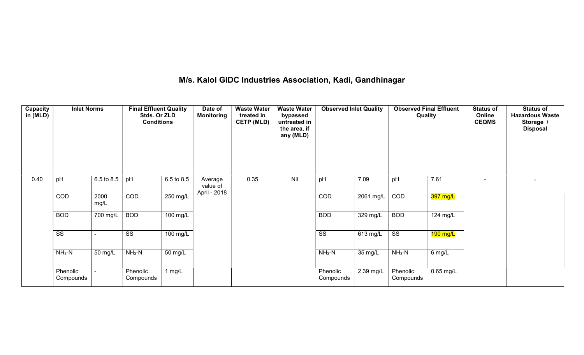## M/s. Kalol GIDC Industries Association, Kadi, Gandhinagar

| Capacity<br>in (MLD) | <b>Inlet Norms</b>     |              | <b>Final Effluent Quality</b><br>Stds. Or ZLD<br><b>Conditions</b> |            | Date of<br>Monitoring               | <b>Waste Water</b><br>treated in<br><b>CETP (MLD)</b> | <b>Waste Water</b><br>bypassed<br>untreated in<br>the area, if<br>any (MLD) | <b>Observed Inlet Quality</b> |           | <b>Observed Final Effluent</b><br>Quality |             | <b>Status of</b><br>Online<br><b>CEQMS</b> | <b>Status of</b><br><b>Hazardous Waste</b><br>Storage /<br><b>Disposal</b> |
|----------------------|------------------------|--------------|--------------------------------------------------------------------|------------|-------------------------------------|-------------------------------------------------------|-----------------------------------------------------------------------------|-------------------------------|-----------|-------------------------------------------|-------------|--------------------------------------------|----------------------------------------------------------------------------|
| 0.40                 | pH                     | 6.5 to 8.5   | pH                                                                 | 6.5 to 8.5 | Average<br>value of<br>April - 2018 | 0.35                                                  | Nil                                                                         | pH                            | 7.09      | pH                                        | 7.61        |                                            | $\,$ $\,$                                                                  |
|                      | COD                    | 2000<br>mg/L | COD                                                                | 250 mg/L   |                                     |                                                       |                                                                             | COD                           | 2061 mg/L | COD                                       | 397 mg/L    |                                            |                                                                            |
|                      | <b>BOD</b>             | 700 mg/L     | <b>BOD</b>                                                         | 100 mg/L   |                                     |                                                       |                                                                             | <b>BOD</b>                    | 329 mg/L  | <b>BOD</b>                                | 124 mg/L    |                                            |                                                                            |
|                      | $\overline{\text{ss}}$ |              | $\overline{\text{ss}}$                                             | 100 mg/L   |                                     |                                                       |                                                                             | $\overline{\text{ss}}$        | 613 mg/L  | $\overline{\text{SS}}$                    | 190 mg/L    |                                            |                                                                            |
|                      | $NH3-N$                | 50 mg/L      | $NH3-N$                                                            | 50 mg/L    |                                     |                                                       |                                                                             | $NH3-N$                       | 35 mg/L   | $NH3-N$                                   | $6$ mg/L    |                                            |                                                                            |
|                      | Phenolic<br>Compounds  |              | Phenolic<br>Compounds                                              | 1 $mg/L$   |                                     |                                                       |                                                                             | Phenolic<br>Compounds         | 2.39 mg/L | Phenolic<br>Compounds                     | $0.65$ mg/L |                                            |                                                                            |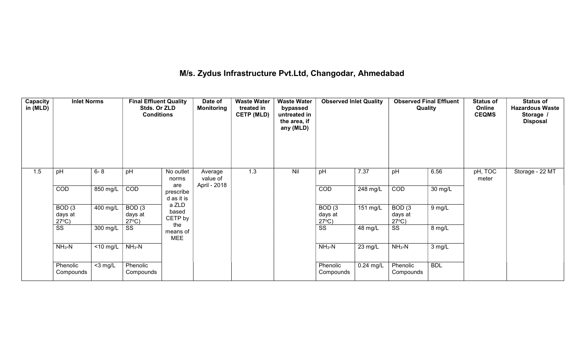## M/s. Zydus Infrastructure Pvt.Ltd, Changodar, Ahmedabad

| Capacity<br>in (MLD) | <b>Inlet Norms</b>                   |             | <b>Final Effluent Quality</b><br>Stds. Or ZLD<br><b>Conditions</b> |                                | Date of<br><b>Monitoring</b> | <b>Waste Water</b><br>treated in<br><b>CETP (MLD)</b> | <b>Waste Water</b><br>bypassed<br>untreated in<br>the area, if<br>any (MLD) | <b>Observed Inlet Quality</b>        |             | <b>Observed Final Effluent</b><br>Quality |            | <b>Status of</b><br>Online<br><b>CEQMS</b> | <b>Status of</b><br><b>Hazardous Waste</b><br>Storage /<br><b>Disposal</b> |
|----------------------|--------------------------------------|-------------|--------------------------------------------------------------------|--------------------------------|------------------------------|-------------------------------------------------------|-----------------------------------------------------------------------------|--------------------------------------|-------------|-------------------------------------------|------------|--------------------------------------------|----------------------------------------------------------------------------|
| 1.5                  | pH                                   | $6 - 8$     | pH                                                                 | No outlet<br>norms             | Average<br>value of          | 1.3                                                   | Nil                                                                         | pH                                   | 7.37        | pH                                        | 6.56       | pH, TOC<br>meter                           | Storage - 22 MT                                                            |
|                      | COD                                  | 850 mg/L    | COD                                                                | are<br>prescribe<br>d as it is | April - 2018                 |                                                       |                                                                             | COD                                  | 248 mg/L    | COD                                       | 30 mg/L    |                                            |                                                                            |
|                      | BOD(3)<br>days at<br>$27^{\circ}C$ ) | $400$ mg/L  | BOD(3)<br>days at<br>$27^{\circ}C$ )                               | a ZLD<br>based<br>CETP by      |                              |                                                       |                                                                             | BOD(3)<br>days at<br>$27^{\circ}C$ ) | $151$ mg/L  | BOD(3)<br>days at<br>$27^{\circ}C$ )      | $9$ mg/L   |                                            |                                                                            |
|                      | SS                                   | 300 mg/L    | SS                                                                 | the<br>means of<br><b>MEE</b>  |                              |                                                       |                                                                             | SS                                   | 48 mg/L     | SS                                        | 8 mg/L     |                                            |                                                                            |
|                      | $NH3-N$                              | $<$ 10 mg/L | $NH3-N$                                                            |                                |                              |                                                       |                                                                             | $NH3-N$                              | 23 mg/L     | $NH3-N$                                   | 3 mg/L     |                                            |                                                                            |
|                      | Phenolic<br>Compounds                | $<$ 3 mg/L  | Phenolic<br>Compounds                                              |                                |                              |                                                       |                                                                             | Phenolic<br>Compounds                | $0.24$ mg/L | Phenolic<br>Compounds                     | <b>BDL</b> |                                            |                                                                            |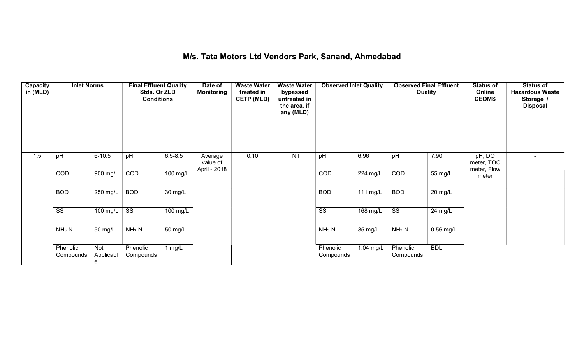#### M/s. Tata Motors Ltd Vendors Park, Sanand, Ahmedabad

| Capacity<br>in (MLD) | <b>Inlet Norms</b>     |                       | <b>Final Effluent Quality</b><br>Stds. Or ZLD<br><b>Conditions</b> |                      | Date of<br><b>Monitoring</b> | <b>Waste Water</b><br>treated in<br><b>CETP (MLD)</b> | <b>Waste Water</b><br>bypassed<br>untreated in<br>the area, if<br>any (MLD) | <b>Observed Inlet Quality</b> |           | Quality                | <b>Observed Final Effluent</b> | <b>Status of</b><br>Online<br><b>CEQMS</b> | <b>Status of</b><br><b>Hazardous Waste</b><br>Storage /<br><b>Disposal</b> |
|----------------------|------------------------|-----------------------|--------------------------------------------------------------------|----------------------|------------------------------|-------------------------------------------------------|-----------------------------------------------------------------------------|-------------------------------|-----------|------------------------|--------------------------------|--------------------------------------------|----------------------------------------------------------------------------|
| 1.5                  | pH                     | $6 - 10.5$            | pH                                                                 | $6.5 - 8.5$          | Average<br>value of          | 0.10                                                  | Nil                                                                         | pH                            | 6.96      | pH                     | 7.90                           | pH, DO<br>meter, TOC                       | $\sim$                                                                     |
|                      | COD                    | 900 mg/L              | COD                                                                | 100 mg/L             | April - 2018                 |                                                       |                                                                             | COD                           | 224 mg/L  | COD                    | 55 mg/L                        | meter, Flow<br>meter                       |                                                                            |
|                      | <b>BOD</b>             | $250$ mg/L            | <b>BOD</b>                                                         | $\overline{30}$ mg/L |                              |                                                       |                                                                             | <b>BOD</b>                    | 111 mg/L  | <b>BOD</b>             | $20 \text{ mg/L}$              |                                            |                                                                            |
|                      | $\overline{\text{ss}}$ | 100 mg/L              | $\overline{\text{SS}}$                                             | 100 mg/L             |                              |                                                       |                                                                             | $\overline{\text{SS}}$        | 168 mg/L  | $\overline{\text{ss}}$ | 24 mg/L                        |                                            |                                                                            |
|                      | $NH3-N$                | 50 mg/L               | $NH3-N$                                                            | 50 mg/L              |                              |                                                       |                                                                             | $NH3-N$                       | 35 mg/L   | $NH3-N$                | $0.56$ mg/L                    |                                            |                                                                            |
|                      | Phenolic<br>Compounds  | Not<br>Applicabl<br>e | Phenolic<br>Compounds                                              | 1 $mg/L$             |                              |                                                       |                                                                             | Phenolic<br>Compounds         | 1.04 mg/L | Phenolic<br>Compounds  | <b>BDL</b>                     |                                            |                                                                            |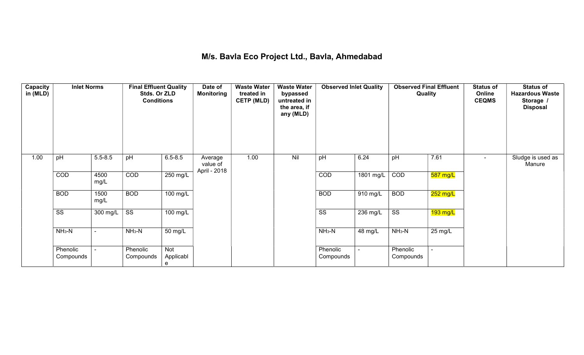## M/s. Bavla Eco Project Ltd., Bavla, Ahmedabad

| Capacity<br>in (MLD) | <b>Inlet Norms</b>     |              | <b>Final Effluent Quality</b><br>Stds. Or ZLD<br><b>Conditions</b> |                              | Date of<br><b>Monitoring</b> | <b>Waste Water</b><br>treated in<br><b>CETP (MLD)</b> | <b>Waste Water</b><br>bypassed<br>untreated in<br>the area, if<br>any (MLD) | <b>Observed Inlet Quality</b> |                       | <b>Observed Final Effluent</b><br>Quality |                    | <b>Status of</b><br>Online<br><b>CEQMS</b> | <b>Status of</b><br><b>Hazardous Waste</b><br>Storage /<br><b>Disposal</b> |
|----------------------|------------------------|--------------|--------------------------------------------------------------------|------------------------------|------------------------------|-------------------------------------------------------|-----------------------------------------------------------------------------|-------------------------------|-----------------------|-------------------------------------------|--------------------|--------------------------------------------|----------------------------------------------------------------------------|
| 1.00                 | pH                     | $5.5 - 8.5$  | pH                                                                 | $6.5 - 8.5$                  | Average<br>value of          | 1.00                                                  | Nil                                                                         | pH                            | 6.24                  | pH                                        | 7.61               | $\blacksquare$                             | Sludge is used as<br>Manure                                                |
|                      | COD                    | 4500<br>mg/L | COD                                                                | 250 mg/L                     | April - 2018                 |                                                       |                                                                             | COD                           | 1801 mg/L             | COD                                       | 587 mg/L           |                                            |                                                                            |
|                      | <b>BOD</b>             | 1500<br>mg/L | <b>BOD</b>                                                         | $100$ mg/L                   |                              |                                                       |                                                                             | <b>BOD</b>                    | $\overline{910}$ mg/L | <b>BOD</b>                                | 252 mg/L           |                                            |                                                                            |
|                      | $\overline{\text{ss}}$ | 300 mg/L     | $\overline{\text{ss}}$                                             | $100$ mg/L                   |                              |                                                       |                                                                             | $\overline{\text{ss}}$        | $236 \text{ mg/L}$    | $\overline{\text{ss}}$                    | $193 \text{ mg/L}$ |                                            |                                                                            |
|                      | $NH3-N$                |              | $NH3-N$                                                            | 50 mg/L                      |                              |                                                       |                                                                             | $NH3-N$                       | 48 mg/L               | $NH3-N$                                   | 25 mg/L            |                                            |                                                                            |
|                      | Phenolic<br>Compounds  |              | Phenolic<br>Compounds                                              | <b>Not</b><br>Applicabl<br>e |                              |                                                       |                                                                             | Phenolic<br>Compounds         | ÷.                    | Phenolic<br>Compounds                     |                    |                                            |                                                                            |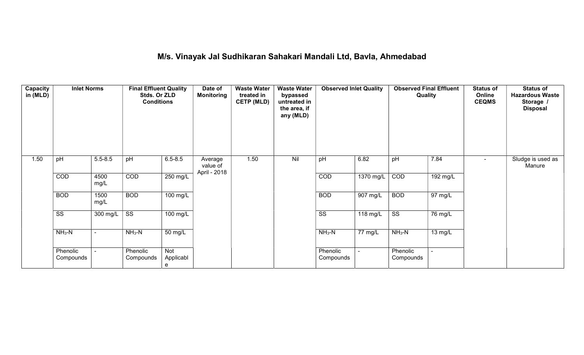## M/s. Vinayak Jal Sudhikaran Sahakari Mandali Ltd, Bavla, Ahmedabad

| Capacity<br>in (MLD) | <b>Inlet Norms</b>     |                | <b>Final Effluent Quality</b><br>Stds. Or ZLD<br><b>Conditions</b> |                       | Date of<br><b>Monitoring</b> | <b>Waste Water</b><br>treated in<br><b>CETP (MLD)</b> | <b>Waste Water</b><br>bypassed<br>untreated in<br>the area, if<br>any (MLD) | <b>Observed Inlet Quality</b> |             | Quality                |          | <b>Status of</b><br>Online<br><b>CEQMS</b> | <b>Status of</b><br><b>Hazardous Waste</b><br>Storage /<br><b>Disposal</b> |
|----------------------|------------------------|----------------|--------------------------------------------------------------------|-----------------------|------------------------------|-------------------------------------------------------|-----------------------------------------------------------------------------|-------------------------------|-------------|------------------------|----------|--------------------------------------------|----------------------------------------------------------------------------|
| 1.50                 | pH                     | $5.5 - 8.5$    | pH                                                                 | $6.5 - 8.5$           | Average<br>value of          | 1.50                                                  | Nil                                                                         | pH                            | 6.82        | pH                     | 7.84     | $\blacksquare$                             | Sludge is used as<br>Manure                                                |
|                      | COD                    | 4500<br>mg/L   | COD                                                                | 250 mg/L              | April - 2018                 |                                                       |                                                                             | COD                           | $1370$ mg/L | COD                    | 192 mg/L |                                            |                                                                            |
|                      | <b>BOD</b>             | 1500<br>mg/L   | <b>BOD</b>                                                         | $100$ mg/L            |                              |                                                       |                                                                             | <b>BOD</b>                    | 907 mg/L    | <b>BOD</b>             | 97 mg/L  |                                            |                                                                            |
|                      | $\overline{\text{ss}}$ | 300 mg/L       | $\overline{\text{SS}}$                                             | 100 mg/L              |                              |                                                       |                                                                             | $\overline{\text{SS}}$        | 118 mg/L    | $\overline{\text{ss}}$ | 76 mg/L  |                                            |                                                                            |
|                      | $NH3-N$                | $\blacksquare$ | $NH3-N$                                                            | 50 mg/L               |                              |                                                       |                                                                             | $NH3-N$                       | 77 mg/L     | $NH3-N$                | 13 mg/L  |                                            |                                                                            |
|                      | Phenolic<br>Compounds  |                | Phenolic<br>Compounds                                              | Not<br>Applicabl<br>e |                              |                                                       |                                                                             | Phenolic<br>Compounds         |             | Phenolic<br>Compounds  |          |                                            |                                                                            |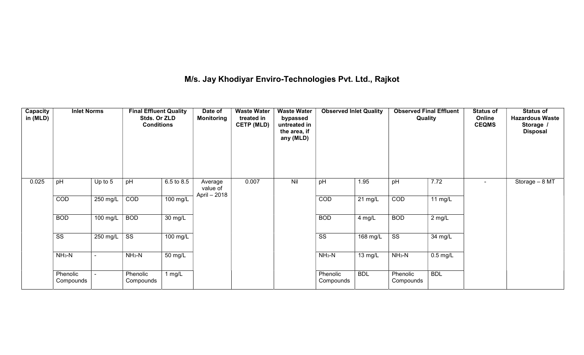# M/s. Jay Khodiyar Enviro-Technologies Pvt. Ltd., Rajkot

| Capacity<br>in (MLD) | <b>Inlet Norms</b>     |                          | <b>Final Effluent Quality</b><br>Stds. Or ZLD<br><b>Conditions</b> |                      | Date of<br><b>Monitoring</b>        | <b>Waste Water</b><br>treated in<br><b>CETP (MLD)</b> | <b>Waste Water</b><br>bypassed<br>untreated in<br>the area, if<br>any (MLD) | <b>Observed Inlet Quality</b> |                   | <b>Observed Final Effluent</b><br>Quality |            | <b>Status of</b><br>Online<br><b>CEQMS</b> | <b>Status of</b><br><b>Hazardous Waste</b><br>Storage /<br><b>Disposal</b> |
|----------------------|------------------------|--------------------------|--------------------------------------------------------------------|----------------------|-------------------------------------|-------------------------------------------------------|-----------------------------------------------------------------------------|-------------------------------|-------------------|-------------------------------------------|------------|--------------------------------------------|----------------------------------------------------------------------------|
| 0.025                | pH                     | Up to 5                  | pH                                                                 | 6.5 to 8.5           | Average<br>value of<br>April - 2018 | 0.007                                                 | Nil                                                                         | pH                            | 1.95              | pH                                        | 7.72       |                                            | Storage $-8$ MT                                                            |
|                      | COD                    | 250 mg/L                 | COD                                                                | 100 mg/L             |                                     |                                                       |                                                                             | COD                           | $21 \text{ mg/L}$ | COD                                       | 11 $mg/L$  |                                            |                                                                            |
|                      | <b>BOD</b>             | $100 \text{ mg/L}$       | <b>BOD</b>                                                         | $\overline{30}$ mg/L |                                     |                                                       |                                                                             | <b>BOD</b>                    | 4 mg/L            | <b>BOD</b>                                | $2$ mg/L   |                                            |                                                                            |
|                      | $\overline{\text{SS}}$ | 250 mg/L                 | $\overline{\text{SS}}$                                             | $100$ mg/L           |                                     |                                                       |                                                                             | $\overline{\text{ss}}$        | 168 mg/L          | $\overline{\text{ss}}$                    | 34 mg/L    |                                            |                                                                            |
|                      | $NH3-N$                | $\overline{\phantom{a}}$ | $NH3-N$                                                            | 50 mg/L              |                                     |                                                       |                                                                             | $NH3-N$                       | 13 mg/L           | $NH3-N$                                   | $0.5$ mg/L |                                            |                                                                            |
|                      | Phenolic<br>Compounds  |                          | Phenolic<br>Compounds                                              | 1 $mg/L$             |                                     |                                                       |                                                                             | Phenolic<br>Compounds         | <b>BDL</b>        | Phenolic<br>Compounds                     | <b>BDL</b> |                                            |                                                                            |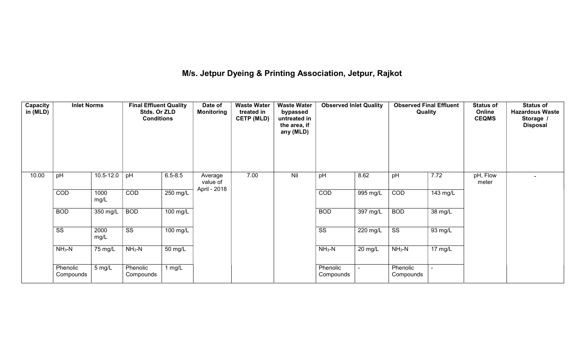## M/s. Jetpur Dyeing & Printing Association, Jetpur, Rajkot

| Capacity<br>in (MLD) | <b>Inlet Norms</b>     |                  | <b>Final Effluent Quality</b><br>Stds. Or ZLD<br><b>Conditions</b> |                      | <b>Waste Water</b><br>Date of<br><b>Waste Water</b><br><b>Monitoring</b><br>treated in<br>bypassed<br><b>CETP (MLD)</b><br>untreated in<br>the area, if<br>any (MLD) |      | <b>Observed Inlet Quality</b> |                        | <b>Observed Final Effluent</b><br>Quality |                        | <b>Status of</b><br>Online<br><b>CEQMS</b> | <b>Status of</b><br><b>Hazardous Waste</b><br>Storage /<br><b>Disposal</b> |  |
|----------------------|------------------------|------------------|--------------------------------------------------------------------|----------------------|----------------------------------------------------------------------------------------------------------------------------------------------------------------------|------|-------------------------------|------------------------|-------------------------------------------|------------------------|--------------------------------------------|----------------------------------------------------------------------------|--|
| 10.00                | pH                     | 10.5-12.0        | pH                                                                 | $6.5 - 8.5$          | Average<br>value of<br>April - 2018                                                                                                                                  | 7.00 | Nil                           | pH                     | 8.62                                      | pH                     | 7.72                                       | pH, Flow<br>meter                                                          |  |
|                      | COD                    | 1000<br>mg/L     | COD                                                                | $250 \text{ mg/L}$   |                                                                                                                                                                      |      |                               | COD                    | 995 mg/L                                  | COD                    | 143 mg/L                                   |                                                                            |  |
|                      | <b>BOD</b>             | 350 mg/L         | <b>BOD</b>                                                         | $100 \text{ mg/L}$   |                                                                                                                                                                      |      |                               | <b>BOD</b>             | 397 mg/L                                  | <b>BOD</b>             | $38 \text{ mg/L}$                          |                                                                            |  |
|                      | $\overline{\text{SS}}$ | 2000<br>mg/L     | $\overline{\text{SS}}$                                             | $100$ mg/L           |                                                                                                                                                                      |      |                               | $\overline{\text{SS}}$ | $220 \text{ mg/L}$                        | $\overline{\text{ss}}$ | 93 mg/L                                    |                                                                            |  |
|                      | $NH3-N$                | 75 mg/L          | $NH3-N$                                                            | $\overline{50}$ mg/L |                                                                                                                                                                      |      |                               | $NH3-N$                | 20 mg/L                                   | $NH3-N$                | 17 mg/L                                    |                                                                            |  |
|                      | Phenolic<br>Compounds  | $5 \text{ mg/L}$ | Phenolic<br>Compounds                                              | 1 mg/L               |                                                                                                                                                                      |      |                               | Phenolic<br>Compounds  |                                           | Phenolic<br>Compounds  |                                            |                                                                            |  |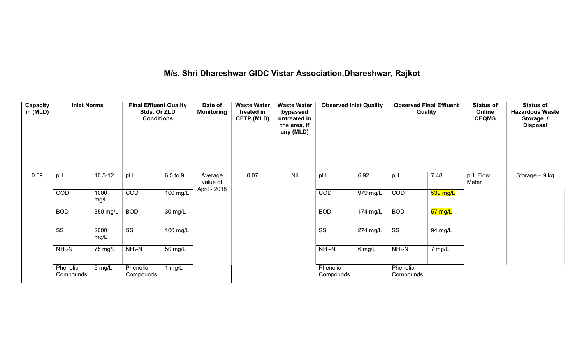# M/s. Shri Dhareshwar GIDC Vistar Association,Dhareshwar, Rajkot

| Capacity<br>in (MLD) | <b>Inlet Norms</b>     |                  | <b>Final Effluent Quality</b><br>Stds. Or ZLD<br><b>Conditions</b> |                       | <b>Waste Water</b><br>Date of<br><b>Monitoring</b><br>treated in<br><b>CETP (MLD)</b> |      | <b>Waste Water</b><br>bypassed<br>untreated in<br>the area, if<br>any (MLD) | <b>Observed Inlet Quality</b> |                       | <b>Observed Final Effluent</b><br>Quality |          | <b>Status of</b><br>Online<br><b>CEQMS</b> | <b>Status of</b><br><b>Hazardous Waste</b><br>Storage<br><b>Disposal</b> |
|----------------------|------------------------|------------------|--------------------------------------------------------------------|-----------------------|---------------------------------------------------------------------------------------|------|-----------------------------------------------------------------------------|-------------------------------|-----------------------|-------------------------------------------|----------|--------------------------------------------|--------------------------------------------------------------------------|
| 0.09                 | pH                     | $10.5 - 12$      | pH                                                                 | 6.5 to 9              | Average<br>value of<br>April - 2018                                                   | 0.07 | Nil                                                                         | pH                            | 6.92                  | pH                                        | 7.48     | pH, Flow<br>Meter                          | Storage - 9 kg                                                           |
|                      | COD                    | 1000<br>mg/L     | COD                                                                | 100 mg/L              |                                                                                       |      |                                                                             | COD                           | 979 mg/L              | COD                                       | 539 mg/L |                                            |                                                                          |
|                      | <b>BOD</b>             | 350 mg/L         | <b>BOD</b>                                                         | $\overline{30}$ mg/L  |                                                                                       |      |                                                                             | <b>BOD</b>                    | 174 mg/L              | <b>BOD</b>                                | 57 mg/L  |                                            |                                                                          |
|                      | $\overline{\text{ss}}$ | 2000<br>mg/L     | $\overline{\text{SS}}$                                             | $\overline{100}$ mg/L |                                                                                       |      |                                                                             | $\overline{\text{SS}}$        | $\overline{274}$ mg/L | $\overline{\text{SS}}$                    | 94 mg/L  |                                            |                                                                          |
|                      | $NH3-N$                | 75 mg/L          | $NH3-N$                                                            | $\overline{50}$ mg/L  |                                                                                       |      |                                                                             | $NH3-N$                       | 6 mg/L                | $NH3-N$                                   | 7 mg/L   |                                            |                                                                          |
|                      | Phenolic<br>Compounds  | $5 \text{ mg/L}$ | Phenolic<br>Compounds                                              | 1 mg/L                |                                                                                       |      |                                                                             | Phenolic<br>Compounds         | $\sim$                | Phenolic<br>Compounds                     |          |                                            |                                                                          |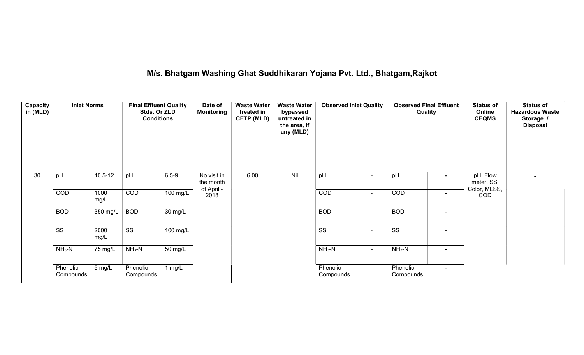## M/s. Bhatgam Washing Ghat Suddhikaran Yojana Pvt. Ltd., Bhatgam,Rajkot

| <b>Capacity</b><br>in (MLD) | <b>Inlet Norms</b>     |              | <b>Final Effluent Quality</b><br>Stds. Or ZLD<br><b>Conditions</b> |                   | Date of<br><b>Monitoring</b>           | <b>Waste Water</b><br>treated in<br><b>CETP (MLD)</b> | <b>Waste Water</b><br>bypassed<br>untreated in<br>the area, if<br>any (MLD) | <b>Observed Inlet Quality</b> |                | <b>Observed Final Effluent</b><br>Quality |                | <b>Status of</b><br>Online<br><b>CEQMS</b> | <b>Status of</b><br><b>Hazardous Waste</b><br>Storage /<br><b>Disposal</b> |
|-----------------------------|------------------------|--------------|--------------------------------------------------------------------|-------------------|----------------------------------------|-------------------------------------------------------|-----------------------------------------------------------------------------|-------------------------------|----------------|-------------------------------------------|----------------|--------------------------------------------|----------------------------------------------------------------------------|
| 30                          | pH                     | $10.5 - 12$  | pH                                                                 | $6.5 - 9$         | No visit in<br>the month<br>of April - | 6.00                                                  | Nil                                                                         | pH                            |                | pH                                        |                | pH, Flow<br>meter, SS,<br>Color, MLSS,     | $\blacksquare$                                                             |
|                             | COD                    | 1000<br>mg/L | COD                                                                | 100 mg/L          | 2018                                   |                                                       |                                                                             | COD                           | $\sim$         | COD                                       | $\blacksquare$ | <b>COD</b>                                 |                                                                            |
|                             | <b>BOD</b>             | 350 mg/L     | <b>BOD</b>                                                         | $30 \text{ mg/L}$ |                                        |                                                       |                                                                             | <b>BOD</b>                    | $\sim$         | <b>BOD</b>                                | $\blacksquare$ |                                            |                                                                            |
|                             | $\overline{\text{ss}}$ | 2000<br>mg/L | $\overline{\text{ss}}$                                             | $100$ mg/L        |                                        |                                                       |                                                                             | $\overline{\text{ss}}$        | $\blacksquare$ | $\overline{\text{ss}}$                    | $\blacksquare$ |                                            |                                                                            |
|                             | $NH3-N$                | 75 mg/L      | $NH3-N$                                                            | $50 \text{ mg/L}$ |                                        |                                                       |                                                                             | $NH3-N$                       | $\blacksquare$ | $NH3-N$                                   | $\blacksquare$ |                                            |                                                                            |
|                             | Phenolic<br>Compounds  | 5 mg/L       | Phenolic<br>Compounds                                              | $1$ mg/L          |                                        |                                                       |                                                                             | Phenolic<br>Compounds         | $\sim$         | Phenolic<br>Compounds                     | $\blacksquare$ |                                            |                                                                            |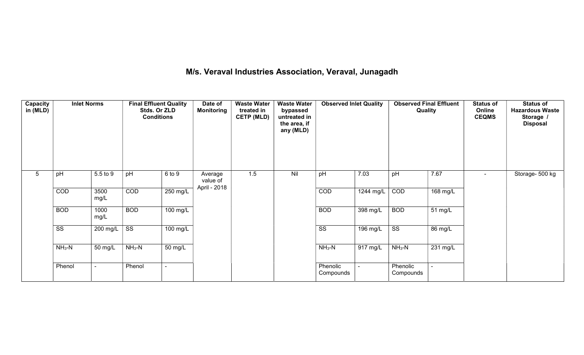## M/s. Veraval Industries Association, Veraval, Junagadh

| Capacity<br>in (MLD) |                        |              | <b>Final Effluent Quality</b><br>Stds. Or ZLD<br><b>Conditions</b> |                    | Date of<br><b>Monitoring</b> | <b>Waste Water</b><br>treated in<br><b>CETP (MLD)</b> | <b>Waste Water</b><br>bypassed<br>untreated in<br>the area, if<br>any (MLD) | <b>Observed Inlet Quality</b> |            | <b>Observed Final Effluent</b><br>Quality |                       | <b>Status of</b><br>Online<br><b>CEQMS</b> | <b>Status of</b><br><b>Hazardous Waste</b><br>Storage /<br><b>Disposal</b> |
|----------------------|------------------------|--------------|--------------------------------------------------------------------|--------------------|------------------------------|-------------------------------------------------------|-----------------------------------------------------------------------------|-------------------------------|------------|-------------------------------------------|-----------------------|--------------------------------------------|----------------------------------------------------------------------------|
| $5\phantom{.0}$      | pH                     | 5.5 to 9     | pH                                                                 | 6 to 9             | Average<br>value of          | 1.5                                                   | Nil                                                                         | pH                            | 7.03       | pH                                        | 7.67                  | $\blacksquare$                             | Storage- 500 kg                                                            |
|                      | COD                    | 3500<br>mg/L | COD                                                                | 250 mg/L           | April - 2018                 |                                                       |                                                                             | COD                           | 1244 mg/L  | COD                                       | 168 mg/L              |                                            |                                                                            |
|                      | <b>BOD</b>             | 1000<br>mg/L | <b>BOD</b>                                                         | $100 \text{ mg/L}$ |                              |                                                       |                                                                             | <b>BOD</b>                    | 398 mg/L   | <b>BOD</b>                                | 51 mg/L               |                                            |                                                                            |
|                      | $\overline{\text{ss}}$ | 200 mg/L     | $\overline{\text{ss}}$                                             | 100 mg/L           |                              |                                                       |                                                                             | $\overline{\text{ss}}$        | $196$ mg/L | $\overline{\text{ss}}$                    | 86 mg/L               |                                            |                                                                            |
|                      | $NH3-N$                | 50 mg/L      | $NH3-N$                                                            | 50 mg/L            |                              |                                                       |                                                                             | $NH3-N$                       | 917 mg/L   | $NH_3-N$                                  | $\overline{231}$ mg/L |                                            |                                                                            |
|                      | Phenol                 |              | Phenol                                                             |                    |                              |                                                       |                                                                             | Phenolic<br>Compounds         |            | Phenolic<br>Compounds                     |                       |                                            |                                                                            |